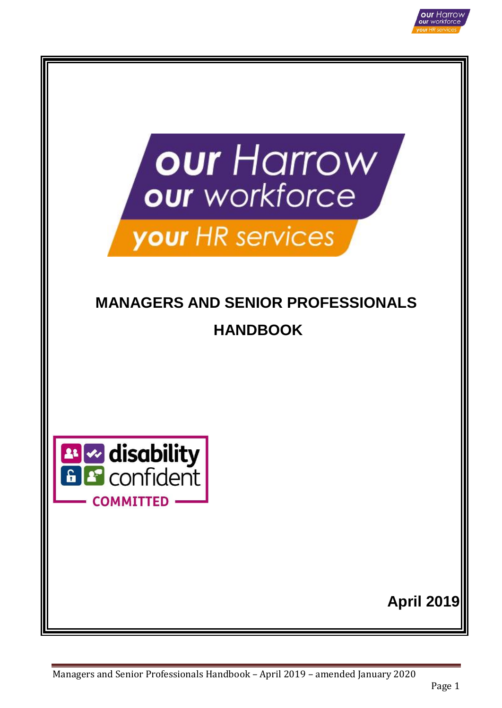

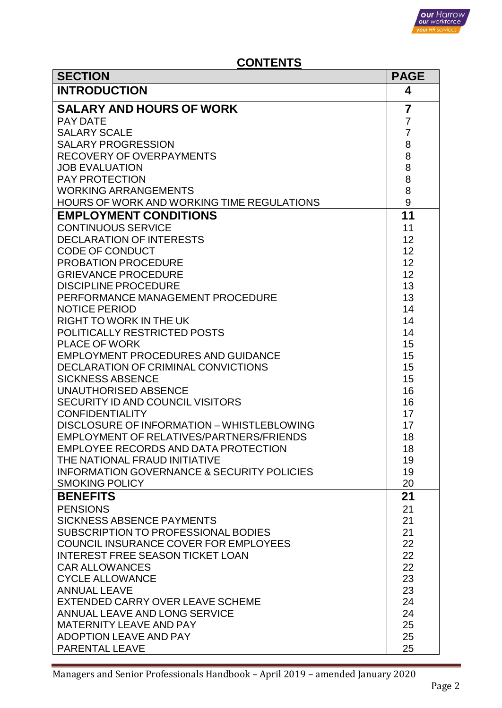

# **CONTENTS**

| <b>SECTION</b>                                                                         | <b>PAGE</b>    |
|----------------------------------------------------------------------------------------|----------------|
| <b>INTRODUCTION</b>                                                                    | 4              |
| <b>SALARY AND HOURS OF WORK</b>                                                        | 7              |
| <b>PAY DATE</b>                                                                        | $\overline{7}$ |
| <b>SALARY SCALE</b>                                                                    | $\overline{7}$ |
| <b>SALARY PROGRESSION</b>                                                              | 8              |
| RECOVERY OF OVERPAYMENTS                                                               | 8              |
| <b>JOB EVALUATION</b>                                                                  | 8              |
| <b>PAY PROTECTION</b>                                                                  | 8              |
| <b>WORKING ARRANGEMENTS</b>                                                            | 8              |
| <b>HOURS OF WORK AND WORKING TIME REGULATIONS</b>                                      | 9              |
| <b>EMPLOYMENT CONDITIONS</b>                                                           | 11             |
| <b>CONTINUOUS SERVICE</b>                                                              | 11             |
| <b>DECLARATION OF INTERESTS</b>                                                        | 12             |
| <b>CODE OF CONDUCT</b>                                                                 | 12             |
| <b>PROBATION PROCEDURE</b>                                                             | 12             |
| <b>GRIEVANCE PROCEDURE</b>                                                             | 12             |
| <b>DISCIPLINE PROCEDURE</b>                                                            | 13             |
| PERFORMANCE MANAGEMENT PROCEDURE                                                       | 13             |
| <b>NOTICE PERIOD</b>                                                                   | 14             |
| <b>RIGHT TO WORK IN THE UK</b>                                                         | 14             |
| POLITICALLY RESTRICTED POSTS                                                           | 14             |
| <b>PLACE OF WORK</b>                                                                   | 15             |
| <b>EMPLOYMENT PROCEDURES AND GUIDANCE</b>                                              | 15             |
| DECLARATION OF CRIMINAL CONVICTIONS                                                    | 15             |
| <b>SICKNESS ABSENCE</b>                                                                | 15             |
| UNAUTHORISED ABSENCE                                                                   | 16             |
| SECURITY ID AND COUNCIL VISITORS                                                       | 16             |
| <b>CONFIDENTIALITY</b>                                                                 | 17             |
| DISCLOSURE OF INFORMATION - WHISTLEBLOWING<br>EMPLOYMENT OF RELATIVES/PARTNERS/FRIENDS | 17             |
| <b>EMPLOYEE RECORDS AND DATA PROTECTION</b>                                            | 18<br>18       |
| THE NATIONAL FRAUD INITIATIVE                                                          | 19             |
| <b>INFORMATION GOVERNANCE &amp; SECURITY POLICIES</b>                                  | 19             |
| <b>SMOKING POLICY</b>                                                                  | 20             |
| <b>BENEFITS</b>                                                                        | 21             |
| <b>PENSIONS</b>                                                                        | 21             |
| <b>SICKNESS ABSENCE PAYMENTS</b>                                                       | 21             |
| SUBSCRIPTION TO PROFESSIONAL BODIES                                                    | 21             |
| COUNCIL INSURANCE COVER FOR EMPLOYEES                                                  | 22             |
| <b>INTEREST FREE SEASON TICKET LOAN</b>                                                | 22             |
| <b>CAR ALLOWANCES</b>                                                                  | 22             |
| <b>CYCLE ALLOWANCE</b>                                                                 | 23             |
| <b>ANNUAL LEAVE</b>                                                                    | 23             |
| EXTENDED CARRY OVER LEAVE SCHEME                                                       | 24             |
| ANNUAL LEAVE AND LONG SERVICE                                                          | 24             |
| <b>MATERNITY LEAVE AND PAY</b>                                                         | 25             |
| ADOPTION LEAVE AND PAY                                                                 | 25             |
| PARENTAL LEAVE                                                                         | 25             |

Managers and Senior Professionals Handbook – April 2019 – amended January 2020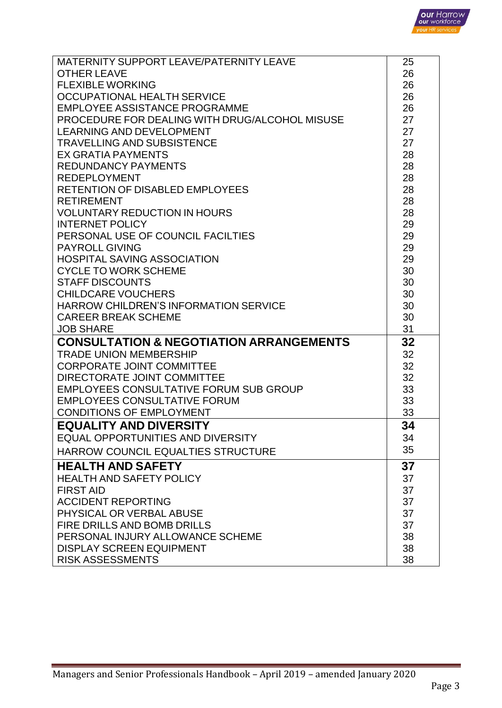

| MATERNITY SUPPORT LEAVE/PATERNITY LEAVE            | 25 |
|----------------------------------------------------|----|
| <b>OTHER LEAVE</b>                                 | 26 |
| <b>FLEXIBLE WORKING</b>                            | 26 |
| <b>OCCUPATIONAL HEALTH SERVICE</b>                 | 26 |
| <b>EMPLOYEE ASSISTANCE PROGRAMME</b>               | 26 |
| PROCEDURE FOR DEALING WITH DRUG/ALCOHOL MISUSE     | 27 |
| LEARNING AND DEVELOPMENT                           | 27 |
| <b>TRAVELLING AND SUBSISTENCE</b>                  | 27 |
| <b>EX GRATIA PAYMENTS</b>                          | 28 |
| <b>REDUNDANCY PAYMENTS</b>                         | 28 |
| <b>REDEPLOYMENT</b>                                | 28 |
| <b>RETENTION OF DISABLED EMPLOYEES</b>             | 28 |
| <b>RETIREMENT</b>                                  | 28 |
| <b>VOLUNTARY REDUCTION IN HOURS</b>                | 28 |
| <b>INTERNET POLICY</b>                             | 29 |
| PERSONAL USE OF COUNCIL FACILTIES                  | 29 |
| <b>PAYROLL GIVING</b>                              | 29 |
| <b>HOSPITAL SAVING ASSOCIATION</b>                 | 29 |
| <b>CYCLE TO WORK SCHEME</b>                        | 30 |
| <b>STAFF DISCOUNTS</b>                             | 30 |
| <b>CHILDCARE VOUCHERS</b>                          | 30 |
| <b>HARROW CHILDREN'S INFORMATION SERVICE</b>       | 30 |
| <b>CAREER BREAK SCHEME</b>                         | 30 |
| <b>JOB SHARE</b>                                   | 31 |
| <b>CONSULTATION &amp; NEGOTIATION ARRANGEMENTS</b> | 32 |
| <b>TRADE UNION MEMBERSHIP</b>                      | 32 |
| <b>CORPORATE JOINT COMMITTEE</b>                   | 32 |
| DIRECTORATE JOINT COMMITTEE                        | 32 |
| <b>EMPLOYEES CONSULTATIVE FORUM SUB GROUP</b>      | 33 |
| <b>EMPLOYEES CONSULTATIVE FORUM</b>                | 33 |
| <b>CONDITIONS OF EMPLOYMENT</b>                    | 33 |
| <b>EQUALITY AND DIVERSITY</b>                      | 34 |
| <b>EQUAL OPPORTUNITIES AND DIVERSITY</b>           | 34 |
| HARROW COUNCIL EQUALTIES STRUCTURE                 | 35 |
| <b>HEALTH AND SAFETY</b>                           | 37 |
| <b>HEALTH AND SAFETY POLICY</b>                    | 37 |
| <b>FIRST AID</b>                                   | 37 |
| <b>ACCIDENT REPORTING</b>                          | 37 |
| PHYSICAL OR VERBAL ABUSE                           | 37 |
| FIRE DRILLS AND BOMB DRILLS                        | 37 |
| PERSONAL INJURY ALLOWANCE SCHEME                   | 38 |
| <b>DISPLAY SCREEN EQUIPMENT</b>                    | 38 |
| <b>RISK ASSESSMENTS</b>                            | 38 |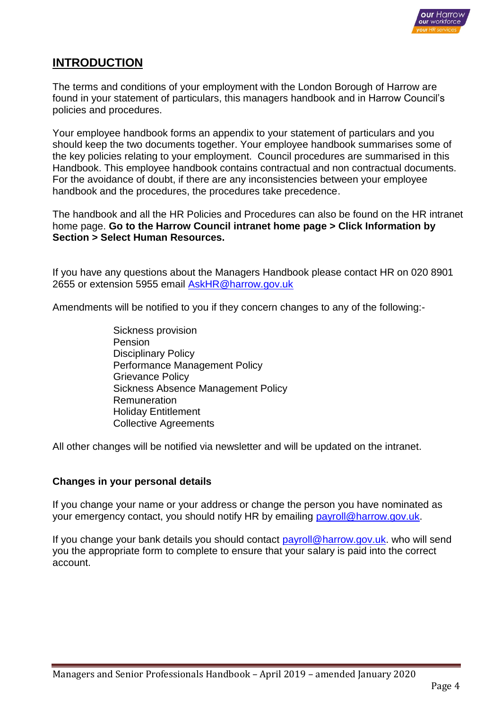

# **INTRODUCTION**

The terms and conditions of your employment with the London Borough of Harrow are found in your statement of particulars, this managers handbook and in Harrow Council's policies and procedures.

Your employee handbook forms an appendix to your statement of particulars and you should keep the two documents together. Your employee handbook summarises some of the key policies relating to your employment. Council procedures are summarised in this Handbook. This employee handbook contains contractual and non contractual documents. For the avoidance of doubt, if there are any inconsistencies between your employee handbook and the procedures, the procedures take precedence.

The handbook and all the HR Policies and Procedures can also be found on the HR intranet home page. **Go to the Harrow Council intranet home page > Click Information by Section > Select Human Resources.** 

If you have any questions about the Managers Handbook please contact HR on 020 8901 2655 or extension 5955 email [AskHR@harrow.gov.uk](mailto:AskHR@harrow.gov.uk)

Amendments will be notified to you if they concern changes to any of the following:-

Sickness provision Pension Disciplinary Policy Performance Management Policy Grievance Policy Sickness Absence Management Policy Remuneration Holiday Entitlement Collective Agreements

All other changes will be notified via newsletter and will be updated on the intranet.

#### **Changes in your personal details**

If you change your name or your address or change the person you have nominated as your emergency contact, you should notify HR by emailing [payroll@harrow.gov.uk.](mailto:payroll@harrow.gov.uk)

If you change your bank details you should contact [payroll@harrow.gov.uk.](mailto:payroll@harrow.gov.uk) who will send you the appropriate form to complete to ensure that your salary is paid into the correct account.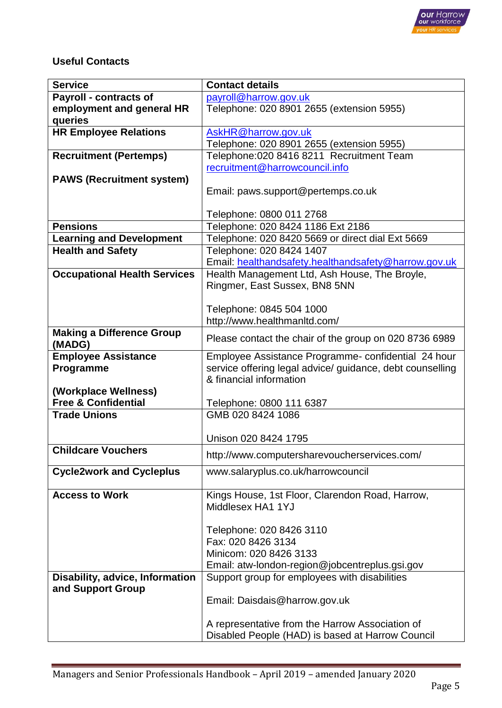

# **Useful Contacts**

| <b>Service</b>                         | <b>Contact details</b>                                                               |  |  |
|----------------------------------------|--------------------------------------------------------------------------------------|--|--|
| Payroll - contracts of                 | payroll@harrow.gov.uk                                                                |  |  |
| employment and general HR              | Telephone: 020 8901 2655 (extension 5955)                                            |  |  |
| queries                                |                                                                                      |  |  |
| <b>HR Employee Relations</b>           | AskHR@harrow.gov.uk                                                                  |  |  |
|                                        | Telephone: 020 8901 2655 (extension 5955)                                            |  |  |
| <b>Recruitment (Pertemps)</b>          | Telephone: 020 8416 8211 Recruitment Team                                            |  |  |
|                                        | recruitment@harrowcouncil.info                                                       |  |  |
| <b>PAWS (Recruitment system)</b>       |                                                                                      |  |  |
|                                        | Email: paws.support@pertemps.co.uk                                                   |  |  |
|                                        |                                                                                      |  |  |
|                                        | Telephone: 0800 011 2768                                                             |  |  |
| <b>Pensions</b>                        | Telephone: 020 8424 1186 Ext 2186                                                    |  |  |
| <b>Learning and Development</b>        | Telephone: 020 8420 5669 or direct dial Ext 5669                                     |  |  |
| <b>Health and Safety</b>               | Telephone: 020 8424 1407                                                             |  |  |
|                                        | Email: healthandsafety.healthandsafety@harrow.gov.uk                                 |  |  |
| <b>Occupational Health Services</b>    | Health Management Ltd, Ash House, The Broyle,                                        |  |  |
|                                        | Ringmer, East Sussex, BN8 5NN                                                        |  |  |
|                                        |                                                                                      |  |  |
|                                        | Telephone: 0845 504 1000                                                             |  |  |
|                                        | http://www.healthmanltd.com/                                                         |  |  |
| <b>Making a Difference Group</b>       | Please contact the chair of the group on 020 8736 6989                               |  |  |
| (MADG)                                 |                                                                                      |  |  |
| <b>Employee Assistance</b>             | Employee Assistance Programme- confidential 24 hour                                  |  |  |
| Programme                              | service offering legal advice/ guidance, debt counselling<br>& financial information |  |  |
| (Workplace Wellness)                   |                                                                                      |  |  |
| <b>Free &amp; Confidential</b>         | Telephone: 0800 111 6387                                                             |  |  |
| <b>Trade Unions</b>                    | GMB 020 8424 1086                                                                    |  |  |
|                                        |                                                                                      |  |  |
|                                        | Unison 020 8424 1795                                                                 |  |  |
| <b>Childcare Vouchers</b>              | http://www.computersharevoucherservices.com/                                         |  |  |
|                                        |                                                                                      |  |  |
| <b>Cycle2work and Cycleplus</b>        | www.salaryplus.co.uk/harrowcouncil                                                   |  |  |
| <b>Access to Work</b>                  |                                                                                      |  |  |
|                                        | Kings House, 1st Floor, Clarendon Road, Harrow,<br>Middlesex HA1 1YJ                 |  |  |
|                                        |                                                                                      |  |  |
|                                        | Telephone: 020 8426 3110                                                             |  |  |
|                                        | Fax: 020 8426 3134                                                                   |  |  |
|                                        | Minicom: 020 8426 3133                                                               |  |  |
|                                        | Email: atw-london-region@jobcentreplus.gsi.gov                                       |  |  |
| <b>Disability, advice, Information</b> | Support group for employees with disabilities                                        |  |  |
| and Support Group                      |                                                                                      |  |  |
|                                        | Email: Daisdais@harrow.gov.uk                                                        |  |  |
|                                        |                                                                                      |  |  |
|                                        | A representative from the Harrow Association of                                      |  |  |
|                                        | Disabled People (HAD) is based at Harrow Council                                     |  |  |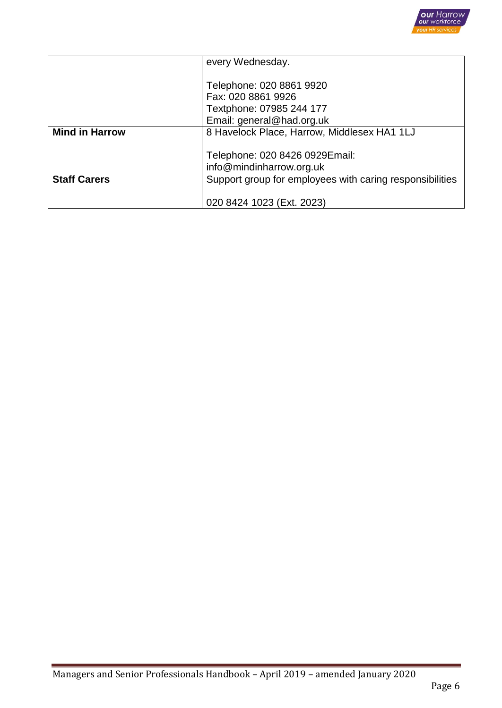

|                       | every Wednesday.                                         |  |
|-----------------------|----------------------------------------------------------|--|
|                       |                                                          |  |
|                       | Telephone: 020 8861 9920                                 |  |
|                       | Fax: 020 8861 9926                                       |  |
|                       | Textphone: 07985 244 177                                 |  |
|                       | Email: general@had.org.uk                                |  |
| <b>Mind in Harrow</b> | 8 Havelock Place, Harrow, Middlesex HA1 1LJ              |  |
|                       |                                                          |  |
|                       | Telephone: 020 8426 0929Email:                           |  |
|                       | info@mindinharrow.org.uk                                 |  |
| <b>Staff Carers</b>   | Support group for employees with caring responsibilities |  |
|                       |                                                          |  |
|                       | 020 8424 1023 (Ext. 2023)                                |  |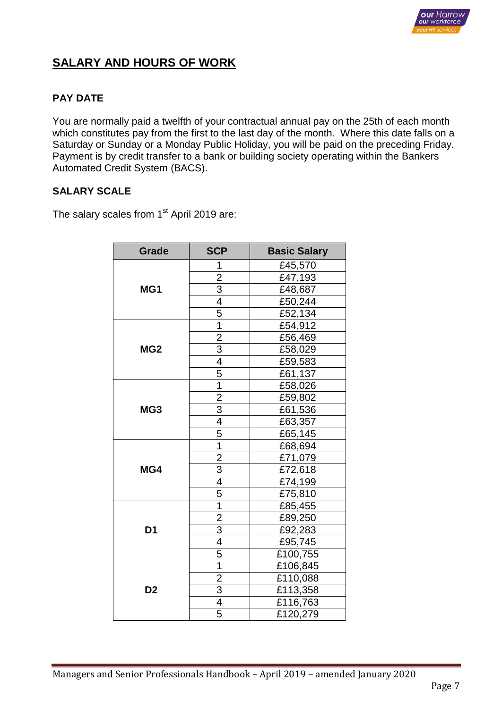

# **SALARY AND HOURS OF WORK**

# **PAY DATE**

You are normally paid a twelfth of your contractual annual pay on the 25th of each month which constitutes pay from the first to the last day of the month. Where this date falls on a Saturday or Sunday or a Monday Public Holiday, you will be paid on the preceding Friday. Payment is by credit transfer to a bank or building society operating within the Bankers Automated Credit System (BACS).

# **SALARY SCALE**

The salary scales from 1<sup>st</sup> April 2019 are:

| Grade           | <b>SCP</b>                                | <b>Basic Salary</b> |
|-----------------|-------------------------------------------|---------------------|
|                 | 1                                         | £45,570             |
|                 |                                           | £47,193             |
| MG1             | $\frac{2}{3}$                             | £48,687             |
|                 | $\overline{4}$                            | £50,244             |
|                 | $\overline{5}$                            | £52,134             |
|                 | $\overline{1}$                            | £54,912             |
|                 | $\frac{2}{3}$                             | £56,469             |
| MG <sub>2</sub> |                                           | £58,029             |
|                 | $\overline{4}$                            | £59,583             |
|                 | $\frac{5}{1}$                             | £61,137             |
|                 |                                           | £58,026             |
|                 | $\overline{2}$                            | £59,802             |
| MG3             | $\frac{3}{4}$                             | £61,536             |
|                 |                                           | £63,357             |
|                 | $\overline{5}$                            | £65,145             |
|                 | $\overline{1}$                            | £68,694             |
|                 | $\overline{2}$                            | £71,079             |
| MG4             |                                           | £72,618             |
|                 |                                           | £74,199             |
|                 | $\frac{3}{4}$ $\frac{4}{5}$ $\frac{5}{1}$ | £75,810             |
|                 |                                           | £85,455             |
|                 | $\overline{2}$                            | £89,250             |
| D <sub>1</sub>  | $\frac{3}{4}$                             | £92,283             |
|                 |                                           | £95,745             |
|                 |                                           | £100,755            |
|                 | $\overline{1}$                            | £106,845            |
|                 | $\frac{2}{3}$ $\frac{4}{5}$               | £110,088            |
| D <sub>2</sub>  |                                           | £113,358            |
|                 |                                           | £116,763            |
|                 |                                           | £120,279            |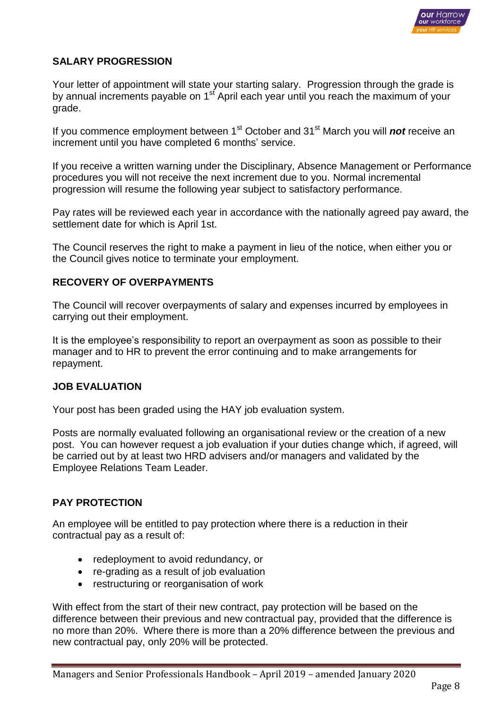

# **SALARY PROGRESSION**

Your letter of appointment will state your starting salary. Progression through the grade is by annual increments payable on 1<sup>st</sup> April each year until you reach the maximum of your grade.

If you commence employment between 1<sup>st</sup> October and 31<sup>st</sup> March you will **not** receive an increment until you have completed 6 months' service.

If you receive a written warning under the Disciplinary, Absence Management or Performance procedures you will not receive the next increment due to you. Normal incremental progression will resume the following year subject to satisfactory performance.

Pay rates will be reviewed each year in accordance with the nationally agreed pay award, the settlement date for which is April 1st.

The Council reserves the right to make a payment in lieu of the notice, when either you or the Council gives notice to terminate your employment.

#### **RECOVERY OF OVERPAYMENTS**

The Council will recover overpayments of salary and expenses incurred by employees in carrying out their employment.

It is the employee's responsibility to report an overpayment as soon as possible to their manager and to HR to prevent the error continuing and to make arrangements for repayment.

#### **JOB EVALUATION**

Your post has been graded using the HAY job evaluation system.

Posts are normally evaluated following an organisational review or the creation of a new post. You can however request a job evaluation if your duties change which, if agreed, will be carried out by at least two HRD advisers and/or managers and validated by the Employee Relations Team Leader.

#### **PAY PROTECTION**

An employee will be entitled to pay protection where there is a reduction in their contractual pay as a result of:

- redeployment to avoid redundancy, or
- re-grading as a result of job evaluation
- restructuring or reorganisation of work

With effect from the start of their new contract, pay protection will be based on the difference between their previous and new contractual pay, provided that the difference is no more than 20%. Where there is more than a 20% difference between the previous and new contractual pay, only 20% will be protected.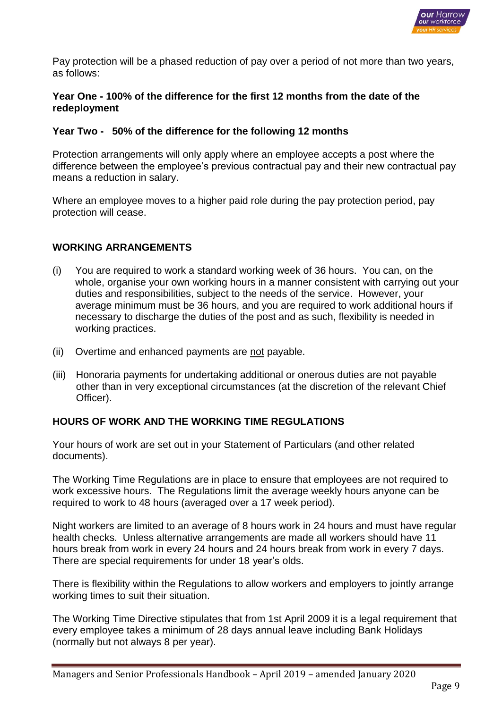

Pay protection will be a phased reduction of pay over a period of not more than two years, as follows:

### **Year One - 100% of the difference for the first 12 months from the date of the redeployment**

#### **Year Two - 50% of the difference for the following 12 months**

Protection arrangements will only apply where an employee accepts a post where the difference between the employee's previous contractual pay and their new contractual pay means a reduction in salary.

Where an employee moves to a higher paid role during the pay protection period, pay protection will cease.

#### **WORKING ARRANGEMENTS**

- (i) You are required to work a standard working week of 36 hours. You can, on the whole, organise your own working hours in a manner consistent with carrying out your duties and responsibilities, subject to the needs of the service. However, your average minimum must be 36 hours, and you are required to work additional hours if necessary to discharge the duties of the post and as such, flexibility is needed in working practices.
- (ii) Overtime and enhanced payments are not payable.
- (iii) Honoraria payments for undertaking additional or onerous duties are not payable other than in very exceptional circumstances (at the discretion of the relevant Chief Officer).

#### **HOURS OF WORK AND THE WORKING TIME REGULATIONS**

Your hours of work are set out in your Statement of Particulars (and other related documents).

The Working Time Regulations are in place to ensure that employees are not required to work excessive hours. The Regulations limit the average weekly hours anyone can be required to work to 48 hours (averaged over a 17 week period).

Night workers are limited to an average of 8 hours work in 24 hours and must have regular health checks. Unless alternative arrangements are made all workers should have 11 hours break from work in every 24 hours and 24 hours break from work in every 7 days. There are special requirements for under 18 year's olds.

There is flexibility within the Regulations to allow workers and employers to jointly arrange working times to suit their situation.

The Working Time Directive stipulates that from 1st April 2009 it is a legal requirement that every employee takes a minimum of 28 days annual leave including Bank Holidays (normally but not always 8 per year).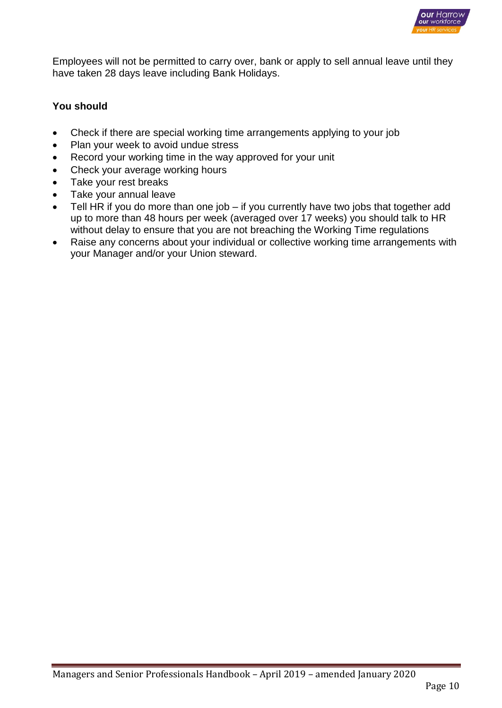

Employees will not be permitted to carry over, bank or apply to sell annual leave until they have taken 28 days leave including Bank Holidays.

## **You should**

- Check if there are special working time arrangements applying to your job
- Plan your week to avoid undue stress
- Record your working time in the way approved for your unit
- Check your average working hours
- Take your rest breaks
- Take your annual leave
- Tell HR if you do more than one job if you currently have two jobs that together add up to more than 48 hours per week (averaged over 17 weeks) you should talk to HR without delay to ensure that you are not breaching the Working Time regulations
- Raise any concerns about your individual or collective working time arrangements with your Manager and/or your Union steward.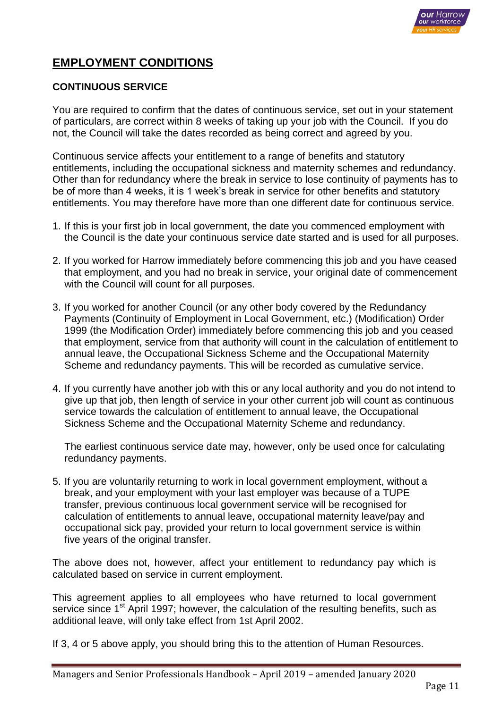

# **EMPLOYMENT CONDITIONS**

# **CONTINUOUS SERVICE**

You are required to confirm that the dates of continuous service, set out in your statement of particulars, are correct within 8 weeks of taking up your job with the Council. If you do not, the Council will take the dates recorded as being correct and agreed by you.

Continuous service affects your entitlement to a range of benefits and statutory entitlements, including the occupational sickness and maternity schemes and redundancy. Other than for redundancy where the break in service to lose continuity of payments has to be of more than 4 weeks, it is 1 week's break in service for other benefits and statutory entitlements. You may therefore have more than one different date for continuous service.

- 1. If this is your first job in local government, the date you commenced employment with the Council is the date your continuous service date started and is used for all purposes.
- 2. If you worked for Harrow immediately before commencing this job and you have ceased that employment, and you had no break in service, your original date of commencement with the Council will count for all purposes.
- 3. If you worked for another Council (or any other body covered by the Redundancy Payments (Continuity of Employment in Local Government, etc.) (Modification) Order 1999 (the Modification Order) immediately before commencing this job and you ceased that employment, service from that authority will count in the calculation of entitlement to annual leave, the Occupational Sickness Scheme and the Occupational Maternity Scheme and redundancy payments. This will be recorded as cumulative service.
- 4. If you currently have another job with this or any local authority and you do not intend to give up that job, then length of service in your other current job will count as continuous service towards the calculation of entitlement to annual leave, the Occupational Sickness Scheme and the Occupational Maternity Scheme and redundancy.

The earliest continuous service date may, however, only be used once for calculating redundancy payments.

5. If you are voluntarily returning to work in local government employment, without a break, and your employment with your last employer was because of a TUPE transfer, previous continuous local government service will be recognised for calculation of entitlements to annual leave, occupational maternity leave/pay and occupational sick pay, provided your return to local government service is within five years of the original transfer.

The above does not, however, affect your entitlement to redundancy pay which is calculated based on service in current employment.

This agreement applies to all employees who have returned to local government service since 1<sup>st</sup> April 1997; however, the calculation of the resulting benefits, such as additional leave, will only take effect from 1st April 2002.

If 3, 4 or 5 above apply, you should bring this to the attention of Human Resources.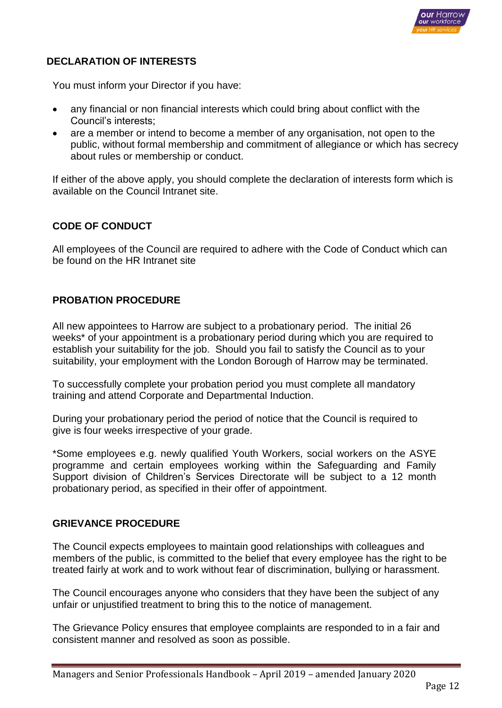

# **DECLARATION OF INTERESTS**

You must inform your Director if you have:

- any financial or non financial interests which could bring about conflict with the Council's interests;
- are a member or intend to become a member of any organisation, not open to the public, without formal membership and commitment of allegiance or which has secrecy about rules or membership or conduct.

If either of the above apply, you should complete the declaration of interests form which is available on the Council Intranet site.

# **CODE OF CONDUCT**

All employees of the Council are required to adhere with the Code of Conduct which can be found on the HR Intranet site

#### **PROBATION PROCEDURE**

All new appointees to Harrow are subject to a probationary period. The initial 26 weeks\* of your appointment is a probationary period during which you are required to establish your suitability for the job. Should you fail to satisfy the Council as to your suitability, your employment with the London Borough of Harrow may be terminated.

To successfully complete your probation period you must complete all mandatory training and attend Corporate and Departmental Induction.

During your probationary period the period of notice that the Council is required to give is four weeks irrespective of your grade.

\*Some employees e.g. newly qualified Youth Workers, social workers on the ASYE programme and certain employees working within the Safeguarding and Family Support division of Children's Services Directorate will be subject to a 12 month probationary period, as specified in their offer of appointment.

#### **GRIEVANCE PROCEDURE**

The Council expects employees to maintain good relationships with colleagues and members of the public, is committed to the belief that every employee has the right to be treated fairly at work and to work without fear of discrimination, bullying or harassment.

The Council encourages anyone who considers that they have been the subject of any unfair or unjustified treatment to bring this to the notice of management.

The Grievance Policy ensures that employee complaints are responded to in a fair and consistent manner and resolved as soon as possible.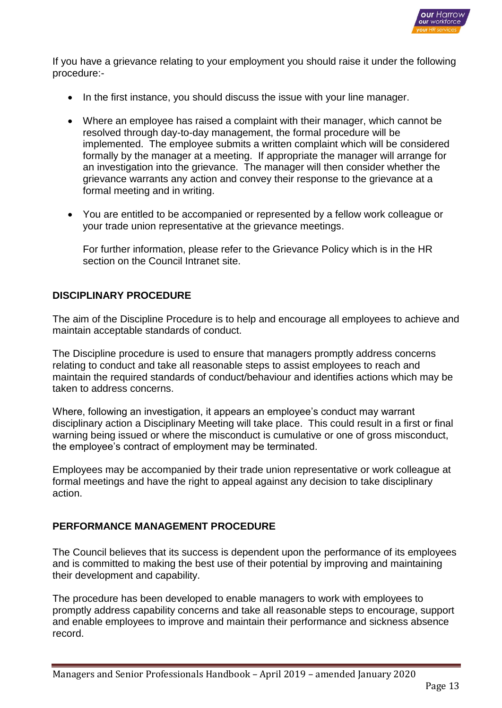

If you have a grievance relating to your employment you should raise it under the following procedure:-

- In the first instance, you should discuss the issue with your line manager.
- Where an employee has raised a complaint with their manager, which cannot be resolved through day-to-day management, the formal procedure will be implemented. The employee submits a written complaint which will be considered formally by the manager at a meeting. If appropriate the manager will arrange for an investigation into the grievance. The manager will then consider whether the grievance warrants any action and convey their response to the grievance at a formal meeting and in writing.
- You are entitled to be accompanied or represented by a fellow work colleague or your trade union representative at the grievance meetings.

For further information, please refer to the Grievance Policy which is in the HR section on the Council Intranet site.

# **DISCIPLINARY PROCEDURE**

The aim of the Discipline Procedure is to help and encourage all employees to achieve and maintain acceptable standards of conduct.

The Discipline procedure is used to ensure that managers promptly address concerns relating to conduct and take all reasonable steps to assist employees to reach and maintain the required standards of conduct/behaviour and identifies actions which may be taken to address concerns.

Where, following an investigation, it appears an employee's conduct may warrant disciplinary action a Disciplinary Meeting will take place. This could result in a first or final warning being issued or where the misconduct is cumulative or one of gross misconduct, the employee's contract of employment may be terminated.

Employees may be accompanied by their trade union representative or work colleague at formal meetings and have the right to appeal against any decision to take disciplinary action.

# **PERFORMANCE MANAGEMENT PROCEDURE**

The Council believes that its success is dependent upon the performance of its employees and is committed to making the best use of their potential by improving and maintaining their development and capability.

The procedure has been developed to enable managers to work with employees to promptly address capability concerns and take all reasonable steps to encourage, support and enable employees to improve and maintain their performance and sickness absence record.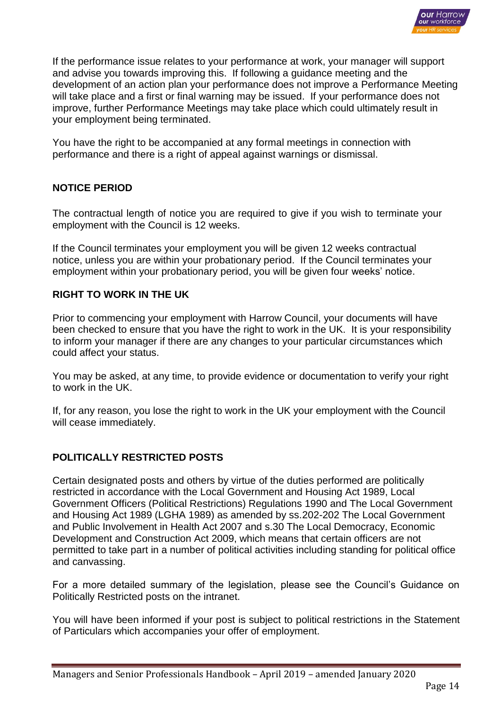

If the performance issue relates to your performance at work, your manager will support and advise you towards improving this. If following a guidance meeting and the development of an action plan your performance does not improve a Performance Meeting will take place and a first or final warning may be issued. If your performance does not improve, further Performance Meetings may take place which could ultimately result in your employment being terminated.

You have the right to be accompanied at any formal meetings in connection with performance and there is a right of appeal against warnings or dismissal.

# **NOTICE PERIOD**

The contractual length of notice you are required to give if you wish to terminate your employment with the Council is 12 weeks.

If the Council terminates your employment you will be given 12 weeks contractual notice, unless you are within your probationary period. If the Council terminates your employment within your probationary period, you will be given four weeks' notice.

# **RIGHT TO WORK IN THE UK**

Prior to commencing your employment with Harrow Council, your documents will have been checked to ensure that you have the right to work in the UK. It is your responsibility to inform your manager if there are any changes to your particular circumstances which could affect your status.

You may be asked, at any time, to provide evidence or documentation to verify your right to work in the UK.

If, for any reason, you lose the right to work in the UK your employment with the Council will cease immediately.

# **POLITICALLY RESTRICTED POSTS**

Certain designated posts and others by virtue of the duties performed are politically restricted in accordance with the Local Government and Housing Act 1989, Local Government Officers (Political Restrictions) Regulations 1990 and The Local Government and Housing Act 1989 (LGHA 1989) as amended by ss.202-202 The Local Government and Public Involvement in Health Act 2007 and s.30 The Local Democracy, Economic Development and Construction Act 2009, which means that certain officers are not permitted to take part in a number of political activities including standing for political office and canvassing.

For a more detailed summary of the legislation, please see the Council's Guidance on Politically Restricted posts on the intranet.

You will have been informed if your post is subject to political restrictions in the Statement of Particulars which accompanies your offer of employment.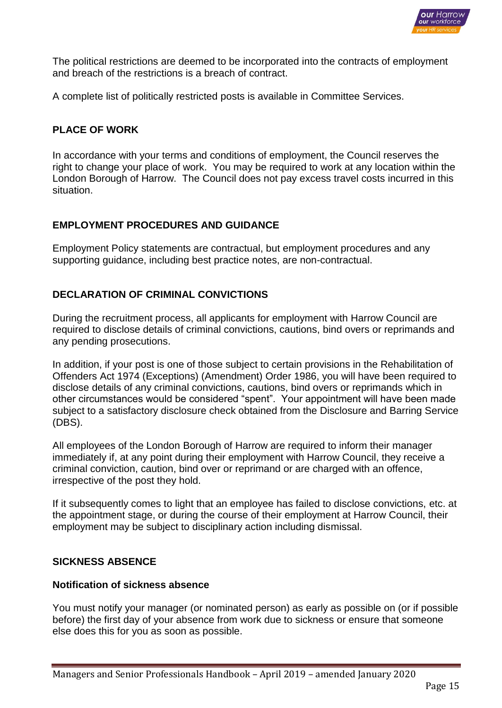

The political restrictions are deemed to be incorporated into the contracts of employment and breach of the restrictions is a breach of contract.

A complete list of politically restricted posts is available in Committee Services.

# **PLACE OF WORK**

In accordance with your terms and conditions of employment, the Council reserves the right to change your place of work. You may be required to work at any location within the London Borough of Harrow. The Council does not pay excess travel costs incurred in this situation.

## **EMPLOYMENT PROCEDURES AND GUIDANCE**

Employment Policy statements are contractual, but employment procedures and any supporting guidance, including best practice notes, are non-contractual.

# **DECLARATION OF CRIMINAL CONVICTIONS**

During the recruitment process, all applicants for employment with Harrow Council are required to disclose details of criminal convictions, cautions, bind overs or reprimands and any pending prosecutions.

In addition, if your post is one of those subject to certain provisions in the Rehabilitation of Offenders Act 1974 (Exceptions) (Amendment) Order 1986, you will have been required to disclose details of any criminal convictions, cautions, bind overs or reprimands which in other circumstances would be considered "spent". Your appointment will have been made subject to a satisfactory disclosure check obtained from the Disclosure and Barring Service (DBS).

All employees of the London Borough of Harrow are required to inform their manager immediately if, at any point during their employment with Harrow Council, they receive a criminal conviction, caution, bind over or reprimand or are charged with an offence, irrespective of the post they hold.

If it subsequently comes to light that an employee has failed to disclose convictions, etc. at the appointment stage, or during the course of their employment at Harrow Council, their employment may be subject to disciplinary action including dismissal.

#### **SICKNESS ABSENCE**

#### **Notification of sickness absence**

You must notify your manager (or nominated person) as early as possible on (or if possible before) the first day of your absence from work due to sickness or ensure that someone else does this for you as soon as possible.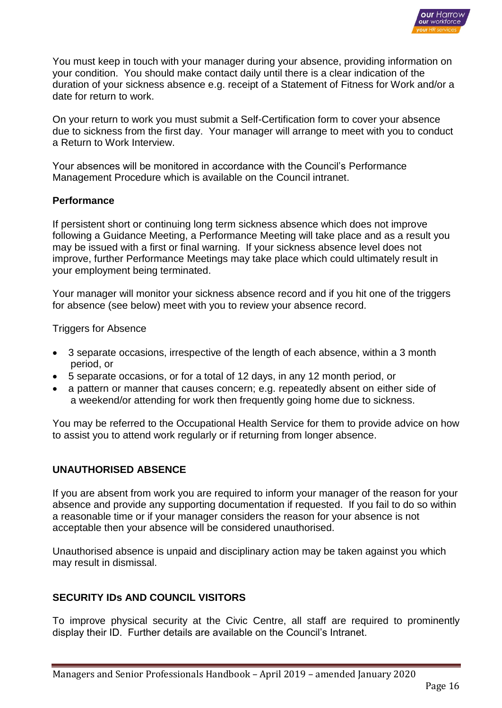

You must keep in touch with your manager during your absence, providing information on your condition. You should make contact daily until there is a clear indication of the duration of your sickness absence e.g. receipt of a Statement of Fitness for Work and/or a date for return to work.

On your return to work you must submit a Self-Certification form to cover your absence due to sickness from the first day. Your manager will arrange to meet with you to conduct a Return to Work Interview.

Your absences will be monitored in accordance with the Council's Performance Management Procedure which is available on the Council intranet.

## **Performance**

If persistent short or continuing long term sickness absence which does not improve following a Guidance Meeting, a Performance Meeting will take place and as a result you may be issued with a first or final warning. If your sickness absence level does not improve, further Performance Meetings may take place which could ultimately result in your employment being terminated.

Your manager will monitor your sickness absence record and if you hit one of the triggers for absence (see below) meet with you to review your absence record.

Triggers for Absence

- 3 separate occasions, irrespective of the length of each absence, within a 3 month period, or
- 5 separate occasions, or for a total of 12 days, in any 12 month period, or
- a pattern or manner that causes concern; e.g. repeatedly absent on either side of a weekend/or attending for work then frequently going home due to sickness.

You may be referred to the Occupational Health Service for them to provide advice on how to assist you to attend work regularly or if returning from longer absence.

#### **UNAUTHORISED ABSENCE**

If you are absent from work you are required to inform your manager of the reason for your absence and provide any supporting documentation if requested. If you fail to do so within a reasonable time or if your manager considers the reason for your absence is not acceptable then your absence will be considered unauthorised.

Unauthorised absence is unpaid and disciplinary action may be taken against you which may result in dismissal.

#### **SECURITY IDs AND COUNCIL VISITORS**

To improve physical security at the Civic Centre, all staff are required to prominently display their ID. Further details are available on the Council's Intranet.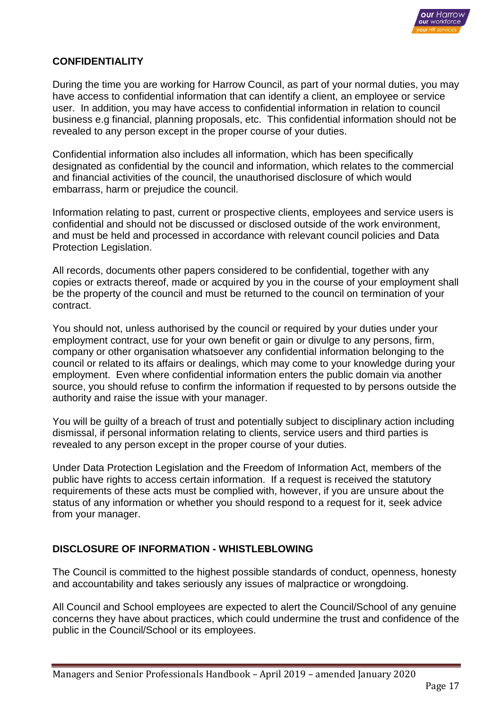

## **CONFIDENTIALITY**

During the time you are working for Harrow Council, as part of your normal duties, you may have access to confidential information that can identify a client, an employee or service user. In addition, you may have access to confidential information in relation to council business e.g financial, planning proposals, etc. This confidential information should not be revealed to any person except in the proper course of your duties.

Confidential information also includes all information, which has been specifically designated as confidential by the council and information, which relates to the commercial and financial activities of the council, the unauthorised disclosure of which would embarrass, harm or prejudice the council.

Information relating to past, current or prospective clients, employees and service users is confidential and should not be discussed or disclosed outside of the work environment, and must be held and processed in accordance with relevant council policies and Data Protection Legislation.

All records, documents other papers considered to be confidential, together with any copies or extracts thereof, made or acquired by you in the course of your employment shall be the property of the council and must be returned to the council on termination of your contract.

You should not, unless authorised by the council or required by your duties under your employment contract, use for your own benefit or gain or divulge to any persons, firm, company or other organisation whatsoever any confidential information belonging to the council or related to its affairs or dealings, which may come to your knowledge during your employment. Even where confidential information enters the public domain via another source, you should refuse to confirm the information if requested to by persons outside the authority and raise the issue with your manager.

You will be guilty of a breach of trust and potentially subject to disciplinary action including dismissal, if personal information relating to clients, service users and third parties is revealed to any person except in the proper course of your duties.

Under Data Protection Legislation and the Freedom of Information Act, members of the public have rights to access certain information. If a request is received the statutory requirements of these acts must be complied with, however, if you are unsure about the status of any information or whether you should respond to a request for it, seek advice from your manager.

#### **DISCLOSURE OF INFORMATION - WHISTLEBLOWING**

The Council is committed to the highest possible standards of conduct, openness, honesty and accountability and takes seriously any issues of malpractice or wrongdoing.

All Council and School employees are expected to alert the Council/School of any genuine concerns they have about practices, which could undermine the trust and confidence of the public in the Council/School or its employees.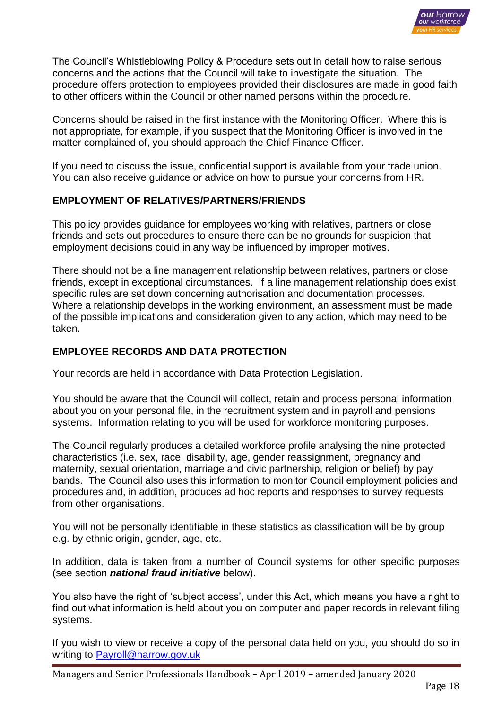

The Council's Whistleblowing Policy & Procedure sets out in detail how to raise serious concerns and the actions that the Council will take to investigate the situation. The procedure offers protection to employees provided their disclosures are made in good faith to other officers within the Council or other named persons within the procedure.

Concerns should be raised in the first instance with the Monitoring Officer. Where this is not appropriate, for example, if you suspect that the Monitoring Officer is involved in the matter complained of, you should approach the Chief Finance Officer.

If you need to discuss the issue, confidential support is available from your trade union. You can also receive guidance or advice on how to pursue your concerns from HR.

# **EMPLOYMENT OF RELATIVES/PARTNERS/FRIENDS**

This policy provides guidance for employees working with relatives, partners or close friends and sets out procedures to ensure there can be no grounds for suspicion that employment decisions could in any way be influenced by improper motives.

There should not be a line management relationship between relatives, partners or close friends, except in exceptional circumstances. If a line management relationship does exist specific rules are set down concerning authorisation and documentation processes. Where a relationship develops in the working environment, an assessment must be made of the possible implications and consideration given to any action, which may need to be taken.

# **EMPLOYEE RECORDS AND DATA PROTECTION**

Your records are held in accordance with Data Protection Legislation.

You should be aware that the Council will collect, retain and process personal information about you on your personal file, in the recruitment system and in payroll and pensions systems. Information relating to you will be used for workforce monitoring purposes.

The Council regularly produces a detailed workforce profile analysing the nine protected characteristics (i.e. sex, race, disability, age, gender reassignment, pregnancy and maternity, sexual orientation, marriage and civic partnership, religion or belief) by pay bands. The Council also uses this information to monitor Council employment policies and procedures and, in addition, produces ad hoc reports and responses to survey requests from other organisations.

You will not be personally identifiable in these statistics as classification will be by group e.g. by ethnic origin, gender, age, etc.

In addition, data is taken from a number of Council systems for other specific purposes (see section *national fraud initiative* below).

You also have the right of 'subject access', under this Act, which means you have a right to find out what information is held about you on computer and paper records in relevant filing systems.

If you wish to view or receive a copy of the personal data held on you, you should do so in writing to [Payroll@harrow.gov.uk](mailto:Payroll@harrow.gov.uk)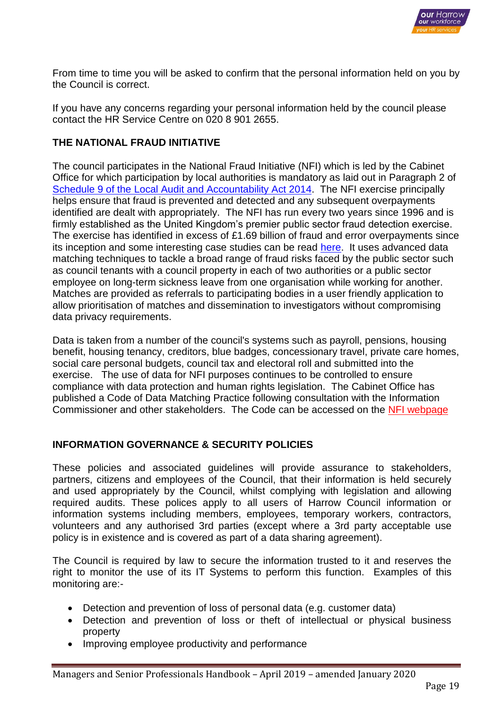

From time to time you will be asked to confirm that the personal information held on you by the Council is correct.

If you have any concerns regarding your personal information held by the council please contact the HR Service Centre on 020 8 901 2655.

# **THE NATIONAL FRAUD INITIATIVE**

The council participates in the National Fraud Initiative (NFI) which is led by the Cabinet Office for which participation by local authorities is mandatory as laid out in Paragraph 2 of Schedule 9 of the [Local Audit and Accountability Act 2014.](http://www.legislation.gov.uk/ukpga/2014/2/schedule/9/enacted) The NFI exercise principally helps ensure that fraud is prevented and detected and any subsequent overpayments identified are dealt with appropriately. The NFI has run every two years since 1996 and is firmly established as the United Kingdom's premier public sector fraud detection exercise. The exercise has identified in excess of £1.69 billion of fraud and error overpayments since its inception and some interesting case studies can be read [here.](https://www.gov.uk/government/publications/national-fraud-initiative-case-studies) It uses advanced data matching techniques to tackle a broad range of fraud risks faced by the public sector such as council tenants with a council property in each of two authorities or a public sector employee on long-term sickness leave from one organisation while working for another. Matches are provided as referrals to participating bodies in a user friendly application to allow prioritisation of matches and dissemination to investigators without compromising data privacy requirements.

Data is taken from a number of the council's systems such as payroll, pensions, housing benefit, housing tenancy, creditors, blue badges, concessionary travel, private care homes, social care personal budgets, council tax and electoral roll and submitted into the exercise. The use of data for NFI purposes continues to be controlled to ensure compliance with data protection and human rights legislation. The Cabinet Office has published a Code of Data Matching Practice following consultation with the Information Commissioner and other stakeholders. The Code can be accessed on the [NFI webpage](https://www.gov.uk/government/collections/national-fraud-initiative)

# **INFORMATION GOVERNANCE & SECURITY POLICIES**

These policies and associated guidelines will provide assurance to stakeholders, partners, citizens and employees of the Council, that their information is held securely and used appropriately by the Council, whilst complying with legislation and allowing required audits. These polices apply to all users of Harrow Council information or information systems including members, employees, temporary workers, contractors, volunteers and any authorised 3rd parties (except where a 3rd party acceptable use policy is in existence and is covered as part of a data sharing agreement).

The Council is required by law to secure the information trusted to it and reserves the right to monitor the use of its IT Systems to perform this function. Examples of this monitoring are:-

- Detection and prevention of loss of personal data (e.g. customer data)
- Detection and prevention of loss or theft of intellectual or physical business property
- Improving employee productivity and performance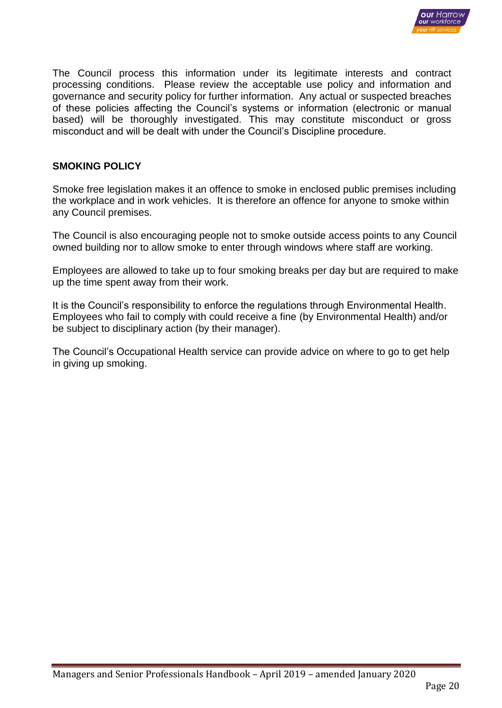

The Council process this information under its legitimate interests and contract processing conditions. Please review the acceptable use policy and information and governance and security policy for further information. Any actual or suspected breaches of these policies affecting the Council's systems or information (electronic or manual based) will be thoroughly investigated. This may constitute misconduct or gross misconduct and will be dealt with under the Council's Discipline procedure.

#### **SMOKING POLICY**

Smoke free legislation makes it an offence to smoke in enclosed public premises including the workplace and in work vehicles. It is therefore an offence for anyone to smoke within any Council premises.

The Council is also encouraging people not to smoke outside access points to any Council owned building nor to allow smoke to enter through windows where staff are working.

Employees are allowed to take up to four smoking breaks per day but are required to make up the time spent away from their work.

It is the Council's responsibility to enforce the regulations through Environmental Health. Employees who fail to comply with could receive a fine (by Environmental Health) and/or be subject to disciplinary action (by their manager).

The Council's Occupational Health service can provide advice on where to go to get help in giving up smoking.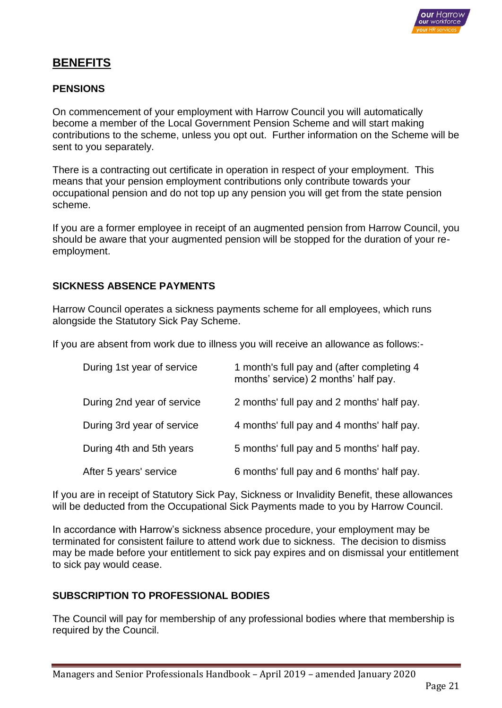

# **BENEFITS**

# **PENSIONS**

On commencement of your employment with Harrow Council you will automatically become a member of the Local Government Pension Scheme and will start making contributions to the scheme, unless you opt out. Further information on the Scheme will be sent to you separately.

There is a contracting out certificate in operation in respect of your employment. This means that your pension employment contributions only contribute towards your occupational pension and do not top up any pension you will get from the state pension scheme.

If you are a former employee in receipt of an augmented pension from Harrow Council, you should be aware that your augmented pension will be stopped for the duration of your reemployment.

# **SICKNESS ABSENCE PAYMENTS**

Harrow Council operates a sickness payments scheme for all employees, which runs alongside the Statutory Sick Pay Scheme.

If you are absent from work due to illness you will receive an allowance as follows:-

| During 1st year of service | 1 month's full pay and (after completing 4<br>months' service) 2 months' half pay. |
|----------------------------|------------------------------------------------------------------------------------|
| During 2nd year of service | 2 months' full pay and 2 months' half pay.                                         |
| During 3rd year of service | 4 months' full pay and 4 months' half pay.                                         |
| During 4th and 5th years   | 5 months' full pay and 5 months' half pay.                                         |
| After 5 years' service     | 6 months' full pay and 6 months' half pay.                                         |

If you are in receipt of Statutory Sick Pay, Sickness or Invalidity Benefit, these allowances will be deducted from the Occupational Sick Payments made to you by Harrow Council.

In accordance with Harrow's sickness absence procedure, your employment may be terminated for consistent failure to attend work due to sickness. The decision to dismiss may be made before your entitlement to sick pay expires and on dismissal your entitlement to sick pay would cease.

# **SUBSCRIPTION TO PROFESSIONAL BODIES**

The Council will pay for membership of any professional bodies where that membership is required by the Council.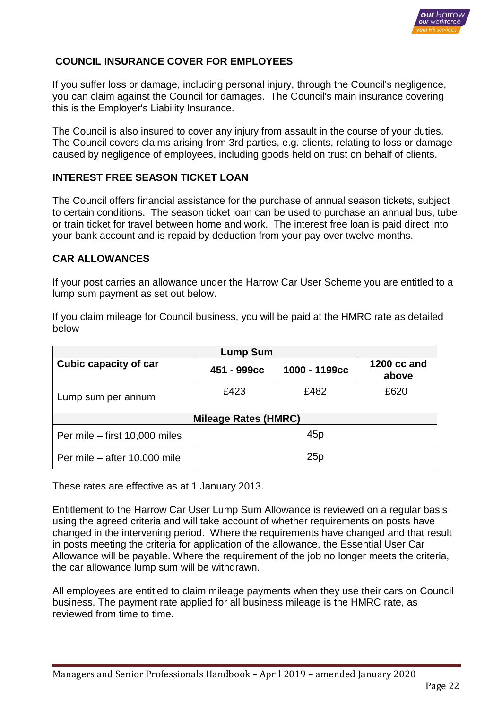

# **COUNCIL INSURANCE COVER FOR EMPLOYEES**

If you suffer loss or damage, including personal injury, through the Council's negligence, you can claim against the Council for damages. The Council's main insurance covering this is the Employer's Liability Insurance.

The Council is also insured to cover any injury from assault in the course of your duties. The Council covers claims arising from 3rd parties, e.g. clients, relating to loss or damage caused by negligence of employees, including goods held on trust on behalf of clients.

## **INTEREST FREE SEASON TICKET LOAN**

The Council offers financial assistance for the purchase of annual season tickets, subject to certain conditions. The season ticket loan can be used to purchase an annual bus, tube or train ticket for travel between home and work. The interest free loan is paid direct into your bank account and is repaid by deduction from your pay over twelve months.

## **CAR ALLOWANCES**

If your post carries an allowance under the Harrow Car User Scheme you are entitled to a lump sum payment as set out below.

|       | If you claim mileage for Council business, you will be paid at the HMRC rate as detailed |  |  |  |
|-------|------------------------------------------------------------------------------------------|--|--|--|
| below |                                                                                          |  |  |  |
|       |                                                                                          |  |  |  |
|       |                                                                                          |  |  |  |

| <b>Lump Sum</b>               |             |               |                      |  |
|-------------------------------|-------------|---------------|----------------------|--|
| Cubic capacity of car         | 451 - 999сс | 1000 - 1199cc | 1200 cc and<br>above |  |
| Lump sum per annum            | £423        | £482          | £620                 |  |
| <b>Mileage Rates (HMRC)</b>   |             |               |                      |  |
| Per mile – first 10,000 miles | 45p         |               |                      |  |
| Per mile – after 10,000 mile  | 25p         |               |                      |  |

These rates are effective as at 1 January 2013.

Entitlement to the Harrow Car User Lump Sum Allowance is reviewed on a regular basis using the agreed criteria and will take account of whether requirements on posts have changed in the intervening period. Where the requirements have changed and that result in posts meeting the criteria for application of the allowance, the Essential User Car Allowance will be payable. Where the requirement of the job no longer meets the criteria, the car allowance lump sum will be withdrawn.

All employees are entitled to claim mileage payments when they use their cars on Council business. The payment rate applied for all business mileage is the HMRC rate, as reviewed from time to time.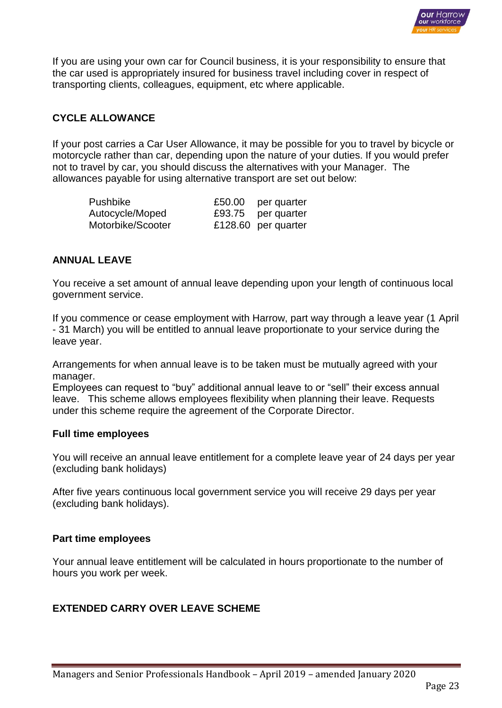

If you are using your own car for Council business, it is your responsibility to ensure that the car used is appropriately insured for business travel including cover in respect of transporting clients, colleagues, equipment, etc where applicable.

# **CYCLE ALLOWANCE**

If your post carries a Car User Allowance, it may be possible for you to travel by bicycle or motorcycle rather than car, depending upon the nature of your duties. If you would prefer not to travel by car, you should discuss the alternatives with your Manager. The allowances payable for using alternative transport are set out below:

| <b>Pushbike</b>   | £50.00 per quarter  |
|-------------------|---------------------|
| Autocycle/Moped   | £93.75 per quarter  |
| Motorbike/Scooter | £128.60 per quarter |

## **ANNUAL LEAVE**

You receive a set amount of annual leave depending upon your length of continuous local government service.

If you commence or cease employment with Harrow, part way through a leave year (1 April - 31 March) you will be entitled to annual leave proportionate to your service during the leave year.

Arrangements for when annual leave is to be taken must be mutually agreed with your manager.

Employees can request to "buy" additional annual leave to or "sell" their excess annual leave. This scheme allows employees flexibility when planning their leave. Requests under this scheme require the agreement of the Corporate Director.

#### **Full time employees**

You will receive an annual leave entitlement for a complete leave year of 24 days per year (excluding bank holidays)

After five years continuous local government service you will receive 29 days per year (excluding bank holidays).

#### **Part time employees**

Your annual leave entitlement will be calculated in hours proportionate to the number of hours you work per week.

# **EXTENDED CARRY OVER LEAVE SCHEME**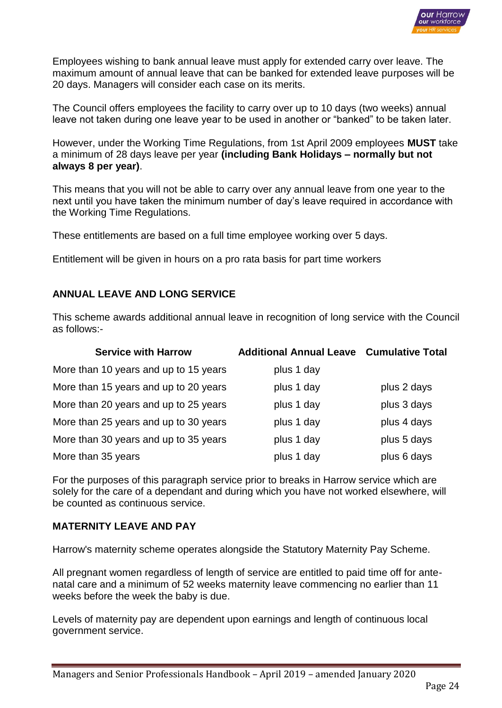

Employees wishing to bank annual leave must apply for extended carry over leave. The maximum amount of annual leave that can be banked for extended leave purposes will be 20 days. Managers will consider each case on its merits.

The Council offers employees the facility to carry over up to 10 days (two weeks) annual leave not taken during one leave year to be used in another or "banked" to be taken later.

However, under the Working Time Regulations, from 1st April 2009 employees **MUST** take a minimum of 28 days leave per year **(including Bank Holidays – normally but not always 8 per year)**.

This means that you will not be able to carry over any annual leave from one year to the next until you have taken the minimum number of day's leave required in accordance with the Working Time Regulations.

These entitlements are based on a full time employee working over 5 days.

Entitlement will be given in hours on a pro rata basis for part time workers

# **ANNUAL LEAVE AND LONG SERVICE**

This scheme awards additional annual leave in recognition of long service with the Council as follows:-

| <b>Service with Harrow</b>            | <b>Additional Annual Leave Cumulative Total</b> |             |
|---------------------------------------|-------------------------------------------------|-------------|
| More than 10 years and up to 15 years | plus 1 day                                      |             |
| More than 15 years and up to 20 years | plus 1 day                                      | plus 2 days |
| More than 20 years and up to 25 years | plus 1 day                                      | plus 3 days |
| More than 25 years and up to 30 years | plus 1 day                                      | plus 4 days |
| More than 30 years and up to 35 years | plus 1 day                                      | plus 5 days |
| More than 35 years                    | plus 1 day                                      | plus 6 days |

For the purposes of this paragraph service prior to breaks in Harrow service which are solely for the care of a dependant and during which you have not worked elsewhere, will be counted as continuous service.

#### **MATERNITY LEAVE AND PAY**

Harrow's maternity scheme operates alongside the Statutory Maternity Pay Scheme.

All pregnant women regardless of length of service are entitled to paid time off for antenatal care and a minimum of 52 weeks maternity leave commencing no earlier than 11 weeks before the week the baby is due.

Levels of maternity pay are dependent upon earnings and length of continuous local government service.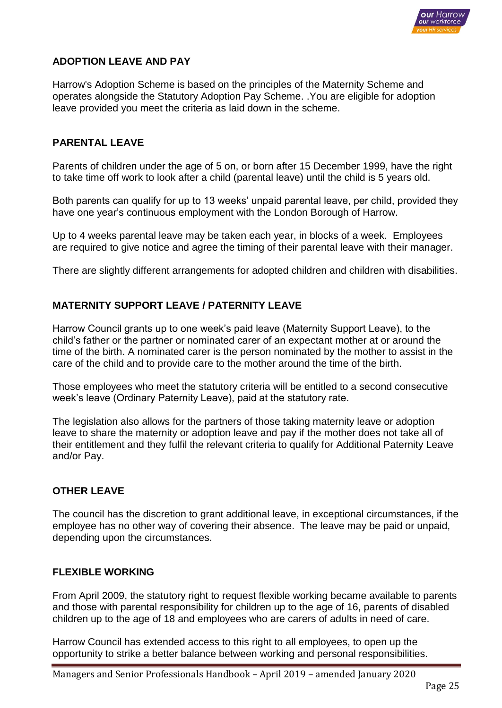

# **ADOPTION LEAVE AND PAY**

Harrow's Adoption Scheme is based on the principles of the Maternity Scheme and operates alongside the Statutory Adoption Pay Scheme. .You are eligible for adoption leave provided you meet the criteria as laid down in the scheme.

# **PARENTAL LEAVE**

Parents of children under the age of 5 on, or born after 15 December 1999, have the right to take time off work to look after a child (parental leave) until the child is 5 years old.

Both parents can qualify for up to 13 weeks' unpaid parental leave, per child, provided they have one year's continuous employment with the London Borough of Harrow.

Up to 4 weeks parental leave may be taken each year, in blocks of a week. Employees are required to give notice and agree the timing of their parental leave with their manager.

There are slightly different arrangements for adopted children and children with disabilities.

## **MATERNITY SUPPORT LEAVE / PATERNITY LEAVE**

Harrow Council grants up to one week's paid leave (Maternity Support Leave), to the child's father or the partner or nominated carer of an expectant mother at or around the time of the birth. A nominated carer is the person nominated by the mother to assist in the care of the child and to provide care to the mother around the time of the birth.

Those employees who meet the statutory criteria will be entitled to a second consecutive week's leave (Ordinary Paternity Leave), paid at the statutory rate.

The legislation also allows for the partners of those taking maternity leave or adoption leave to share the maternity or adoption leave and pay if the mother does not take all of their entitlement and they fulfil the relevant criteria to qualify for Additional Paternity Leave and/or Pay.

#### **OTHER LEAVE**

The council has the discretion to grant additional leave, in exceptional circumstances, if the employee has no other way of covering their absence. The leave may be paid or unpaid, depending upon the circumstances.

#### **FLEXIBLE WORKING**

From April 2009, the statutory right to request flexible working became available to parents and those with parental responsibility for children up to the age of 16, parents of disabled children up to the age of 18 and employees who are carers of adults in need of care.

Harrow Council has extended access to this right to all employees, to open up the opportunity to strike a better balance between working and personal responsibilities.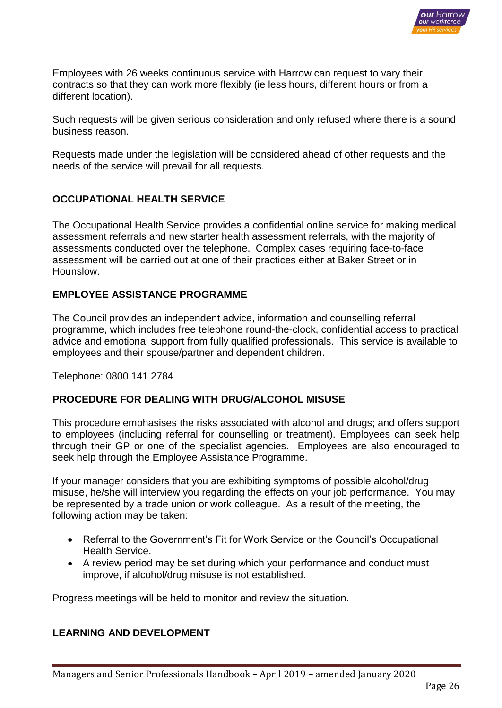

Employees with 26 weeks continuous service with Harrow can request to vary their contracts so that they can work more flexibly (ie less hours, different hours or from a different location).

Such requests will be given serious consideration and only refused where there is a sound business reason.

Requests made under the legislation will be considered ahead of other requests and the needs of the service will prevail for all requests.

# **OCCUPATIONAL HEALTH SERVICE**

The Occupational Health Service provides a confidential online service for making medical assessment referrals and new starter health assessment referrals, with the majority of assessments conducted over the telephone. Complex cases requiring face-to-face assessment will be carried out at one of their practices either at Baker Street or in Hounslow.

## **EMPLOYEE ASSISTANCE PROGRAMME**

The Council provides an independent advice, information and counselling referral programme, which includes free telephone round-the-clock, confidential access to practical advice and emotional support from fully qualified professionals. This service is available to employees and their spouse/partner and dependent children.

Telephone: 0800 141 2784

#### **PROCEDURE FOR DEALING WITH DRUG/ALCOHOL MISUSE**

This procedure emphasises the risks associated with alcohol and drugs; and offers support to employees (including referral for counselling or treatment). Employees can seek help through their GP or one of the specialist agencies. Employees are also encouraged to seek help through the Employee Assistance Programme.

If your manager considers that you are exhibiting symptoms of possible alcohol/drug misuse, he/she will interview you regarding the effects on your job performance. You may be represented by a trade union or work colleague. As a result of the meeting, the following action may be taken:

- Referral to the Government's Fit for Work Service or the Council's Occupational Health Service.
- A review period may be set during which your performance and conduct must improve, if alcohol/drug misuse is not established.

Progress meetings will be held to monitor and review the situation.

# **LEARNING AND DEVELOPMENT**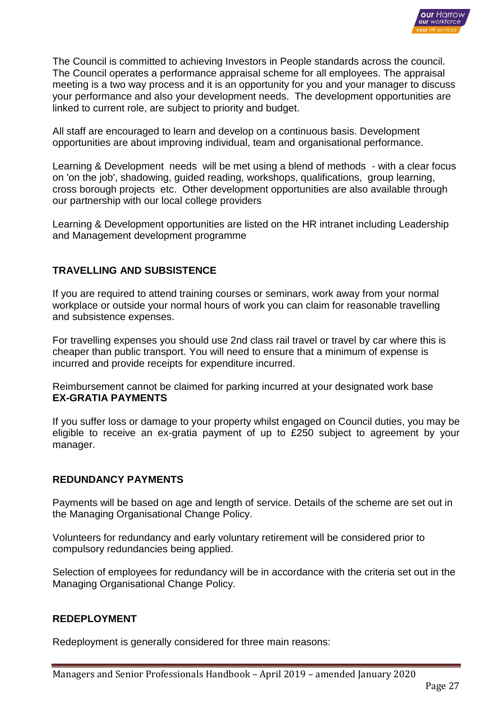

The Council is committed to achieving Investors in People standards across the council. The Council operates a performance appraisal scheme for all employees. The appraisal meeting is a two way process and it is an opportunity for you and your manager to discuss your performance and also your development needs. The development opportunities are linked to current role, are subject to priority and budget.

All staff are encouraged to learn and develop on a continuous basis. Development opportunities are about improving individual, team and organisational performance.

Learning & Development needs will be met using a blend of methods - with a clear focus on 'on the job', shadowing, guided reading, workshops, qualifications, group learning, cross borough projects etc. Other development opportunities are also available through our partnership with our local college providers

Learning & Development opportunities are listed on the HR intranet including Leadership and Management development programme

## **TRAVELLING AND SUBSISTENCE**

If you are required to attend training courses or seminars, work away from your normal workplace or outside your normal hours of work you can claim for reasonable travelling and subsistence expenses.

For travelling expenses you should use 2nd class rail travel or travel by car where this is cheaper than public transport. You will need to ensure that a minimum of expense is incurred and provide receipts for expenditure incurred.

Reimbursement cannot be claimed for parking incurred at your designated work base **EX-GRATIA PAYMENTS**

If you suffer loss or damage to your property whilst engaged on Council duties, you may be eligible to receive an ex-gratia payment of up to £250 subject to agreement by your manager.

#### **REDUNDANCY PAYMENTS**

Payments will be based on age and length of service. Details of the scheme are set out in the Managing Organisational Change Policy.

Volunteers for redundancy and early voluntary retirement will be considered prior to compulsory redundancies being applied.

Selection of employees for redundancy will be in accordance with the criteria set out in the Managing Organisational Change Policy.

#### **REDEPLOYMENT**

Redeployment is generally considered for three main reasons: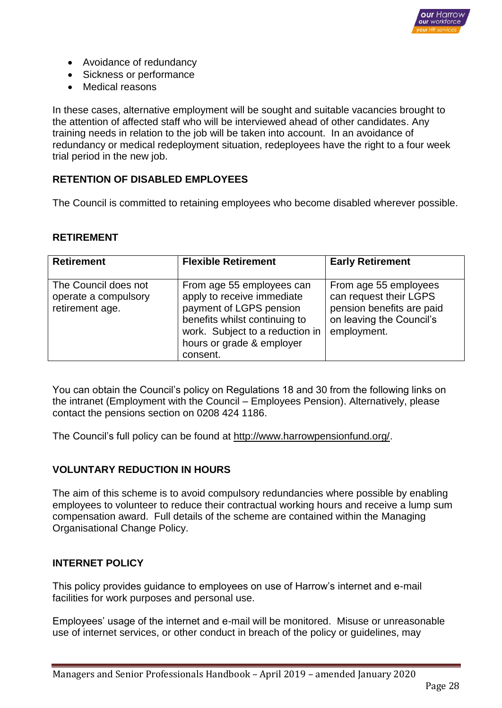

- Avoidance of redundancy
- Sickness or performance
- Medical reasons

In these cases, alternative employment will be sought and suitable vacancies brought to the attention of affected staff who will be interviewed ahead of other candidates. Any training needs in relation to the job will be taken into account. In an avoidance of redundancy or medical redeployment situation, redeployees have the right to a four week trial period in the new job.

## **RETENTION OF DISABLED EMPLOYEES**

The Council is committed to retaining employees who become disabled wherever possible.

#### **RETIREMENT**

| <b>Retirement</b>                                               | <b>Flexible Retirement</b>                                                                                                                                                                      | <b>Early Retirement</b>                                                                                                 |
|-----------------------------------------------------------------|-------------------------------------------------------------------------------------------------------------------------------------------------------------------------------------------------|-------------------------------------------------------------------------------------------------------------------------|
| The Council does not<br>operate a compulsory<br>retirement age. | From age 55 employees can<br>apply to receive immediate<br>payment of LGPS pension<br>benefits whilst continuing to<br>work. Subject to a reduction in<br>hours or grade & employer<br>consent. | From age 55 employees<br>can request their LGPS<br>pension benefits are paid<br>on leaving the Council's<br>employment. |

You can obtain the Council's policy on Regulations 18 and 30 from the following links on the intranet (Employment with the Council – Employees Pension). Alternatively, please contact the pensions section on 0208 424 1186.

The Council's full policy can be found at [http://www.harrowpensionfund.org/.](http://www.harrowpensionfund.org/)

#### **VOLUNTARY REDUCTION IN HOURS**

The aim of this scheme is to avoid compulsory redundancies where possible by enabling employees to volunteer to reduce their contractual working hours and receive a lump sum compensation award. Full details of the scheme are contained within the Managing Organisational Change Policy.

#### **INTERNET POLICY**

This policy provides guidance to employees on use of Harrow's internet and e-mail facilities for work purposes and personal use.

Employees' usage of the internet and e-mail will be monitored. Misuse or unreasonable use of internet services, or other conduct in breach of the policy or guidelines, may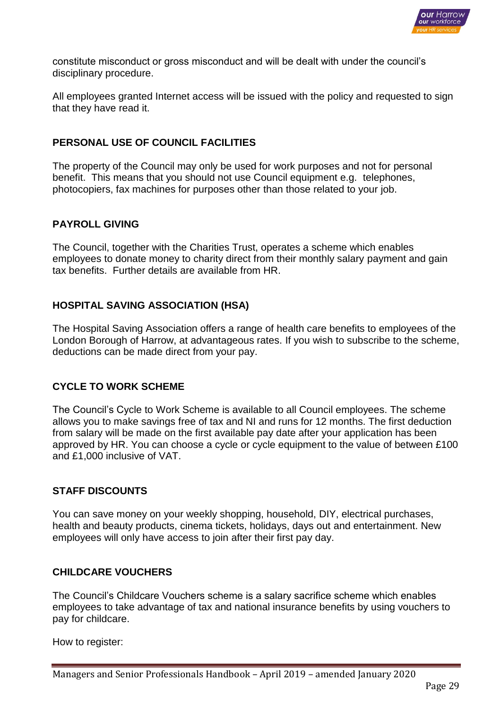

constitute misconduct or gross misconduct and will be dealt with under the council's disciplinary procedure.

All employees granted Internet access will be issued with the policy and requested to sign that they have read it.

# **PERSONAL USE OF COUNCIL FACILITIES**

The property of the Council may only be used for work purposes and not for personal benefit. This means that you should not use Council equipment e.g. telephones, photocopiers, fax machines for purposes other than those related to your job.

# **PAYROLL GIVING**

The Council, together with the Charities Trust, operates a scheme which enables employees to donate money to charity direct from their monthly salary payment and gain tax benefits. Further details are available from HR.

# **HOSPITAL SAVING ASSOCIATION (HSA)**

The Hospital Saving Association offers a range of health care benefits to employees of the London Borough of Harrow, at advantageous rates. If you wish to subscribe to the scheme, deductions can be made direct from your pay.

# **CYCLE TO WORK SCHEME**

The Council's Cycle to Work Scheme is available to all Council employees. The scheme allows you to make savings free of tax and NI and runs for 12 months. The first deduction from salary will be made on the first available pay date after your application has been approved by HR. You can choose a cycle or cycle equipment to the value of between £100 and £1,000 inclusive of VAT.

# **STAFF DISCOUNTS**

You can save money on your weekly shopping, household, DIY, electrical purchases, health and beauty products, cinema tickets, holidays, days out and entertainment. New employees will only have access to join after their first pay day.

# **CHILDCARE VOUCHERS**

The Council's Childcare Vouchers scheme is a salary sacrifice scheme which enables employees to take advantage of tax and national insurance benefits by using vouchers to pay for childcare.

How to register: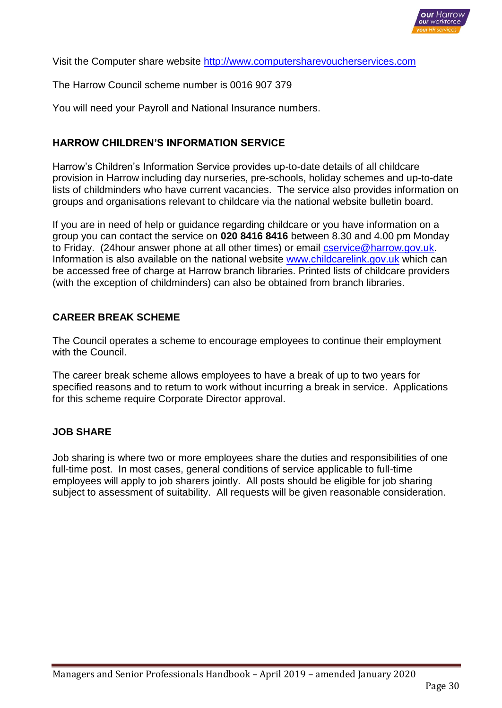

Visit the [Computer share website](http://www.computersharevoucherservices.com/Pages/default.aspx) [http://www.computersharevoucherservices.com](http://www.computersharevoucherservices.com/)

The Harrow Council scheme number is 0016 907 379

You will need your Payroll and National Insurance numbers.

## **HARROW CHILDREN'S INFORMATION SERVICE**

Harrow's Children's Information Service provides up-to-date details of all childcare provision in Harrow including day nurseries, pre-schools, holiday schemes and up-to-date lists of childminders who have current vacancies. The service also provides information on groups and organisations relevant to childcare via the national website bulletin board.

If you are in need of help or guidance regarding childcare or you have information on a group you can contact the service on **020 8416 8416** between 8.30 and 4.00 pm Monday to Friday. (24 hour answer phone at all other times) or email *cservice*@harrow.gov.uk. Information is also available on the national website www.childcarelink.gov.uk which can be accessed free of charge at Harrow branch libraries. Printed lists of childcare providers (with the exception of childminders) can also be obtained from branch libraries.

#### **CAREER BREAK SCHEME**

The Council operates a scheme to encourage employees to continue their employment with the Council.

The career break scheme allows employees to have a break of up to two years for specified reasons and to return to work without incurring a break in service. Applications for this scheme require Corporate Director approval.

# **JOB SHARE**

Job sharing is where two or more employees share the duties and responsibilities of one full-time post. In most cases, general conditions of service applicable to full-time employees will apply to job sharers jointly. All posts should be eligible for job sharing subject to assessment of suitability. All requests will be given reasonable consideration.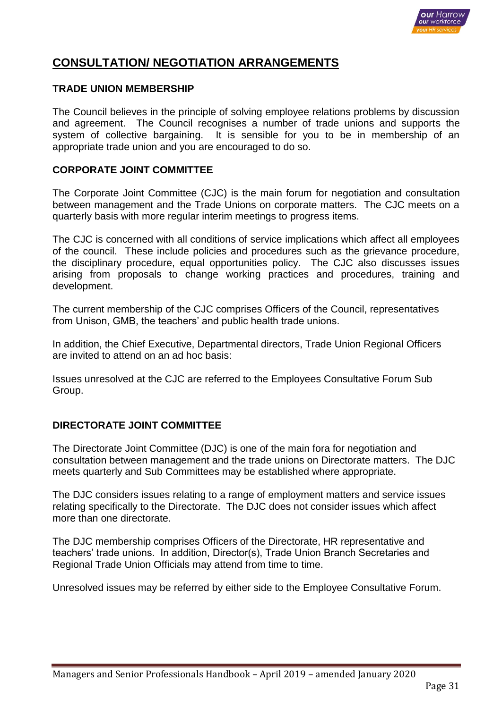

# **CONSULTATION/ NEGOTIATION ARRANGEMENTS**

## **TRADE UNION MEMBERSHIP**

The Council believes in the principle of solving employee relations problems by discussion and agreement. The Council recognises a number of trade unions and supports the system of collective bargaining. It is sensible for you to be in membership of an appropriate trade union and you are encouraged to do so.

#### **CORPORATE JOINT COMMITTEE**

The Corporate Joint Committee (CJC) is the main forum for negotiation and consultation between management and the Trade Unions on corporate matters. The CJC meets on a quarterly basis with more regular interim meetings to progress items.

The CJC is concerned with all conditions of service implications which affect all employees of the council. These include policies and procedures such as the grievance procedure, the disciplinary procedure, equal opportunities policy. The CJC also discusses issues arising from proposals to change working practices and procedures, training and development.

The current membership of the CJC comprises Officers of the Council, representatives from Unison, GMB, the teachers' and public health trade unions.

In addition, the Chief Executive, Departmental directors, Trade Union Regional Officers are invited to attend on an ad hoc basis:

Issues unresolved at the CJC are referred to the Employees Consultative Forum Sub Group.

#### **DIRECTORATE JOINT COMMITTEE**

The Directorate Joint Committee (DJC) is one of the main fora for negotiation and consultation between management and the trade unions on Directorate matters. The DJC meets quarterly and Sub Committees may be established where appropriate.

The DJC considers issues relating to a range of employment matters and service issues relating specifically to the Directorate. The DJC does not consider issues which affect more than one directorate.

The DJC membership comprises Officers of the Directorate, HR representative and teachers' trade unions. In addition, Director(s), Trade Union Branch Secretaries and Regional Trade Union Officials may attend from time to time.

Unresolved issues may be referred by either side to the Employee Consultative Forum.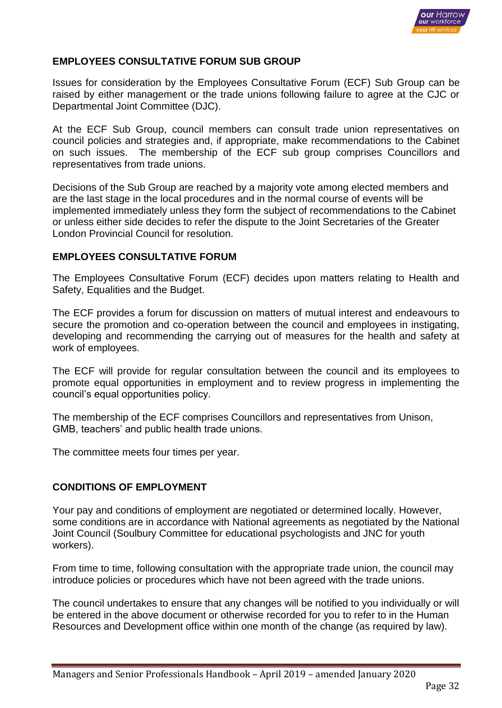

## **EMPLOYEES CONSULTATIVE FORUM SUB GROUP**

Issues for consideration by the Employees Consultative Forum (ECF) Sub Group can be raised by either management or the trade unions following failure to agree at the CJC or Departmental Joint Committee (DJC).

At the ECF Sub Group, council members can consult trade union representatives on council policies and strategies and, if appropriate, make recommendations to the Cabinet on such issues. The membership of the ECF sub group comprises Councillors and representatives from trade unions.

Decisions of the Sub Group are reached by a majority vote among elected members and are the last stage in the local procedures and in the normal course of events will be implemented immediately unless they form the subject of recommendations to the Cabinet or unless either side decides to refer the dispute to the Joint Secretaries of the Greater London Provincial Council for resolution.

## **EMPLOYEES CONSULTATIVE FORUM**

The Employees Consultative Forum (ECF) decides upon matters relating to Health and Safety, Equalities and the Budget.

The ECF provides a forum for discussion on matters of mutual interest and endeavours to secure the promotion and co-operation between the council and employees in instigating, developing and recommending the carrying out of measures for the health and safety at work of employees.

The ECF will provide for regular consultation between the council and its employees to promote equal opportunities in employment and to review progress in implementing the council's equal opportunities policy.

The membership of the ECF comprises Councillors and representatives from Unison, GMB, teachers' and public health trade unions.

The committee meets four times per year.

#### **CONDITIONS OF EMPLOYMENT**

Your pay and conditions of employment are negotiated or determined locally. However, some conditions are in accordance with National agreements as negotiated by the National Joint Council (Soulbury Committee for educational psychologists and JNC for youth workers).

From time to time, following consultation with the appropriate trade union, the council may introduce policies or procedures which have not been agreed with the trade unions.

The council undertakes to ensure that any changes will be notified to you individually or will be entered in the above document or otherwise recorded for you to refer to in the Human Resources and Development office within one month of the change (as required by law).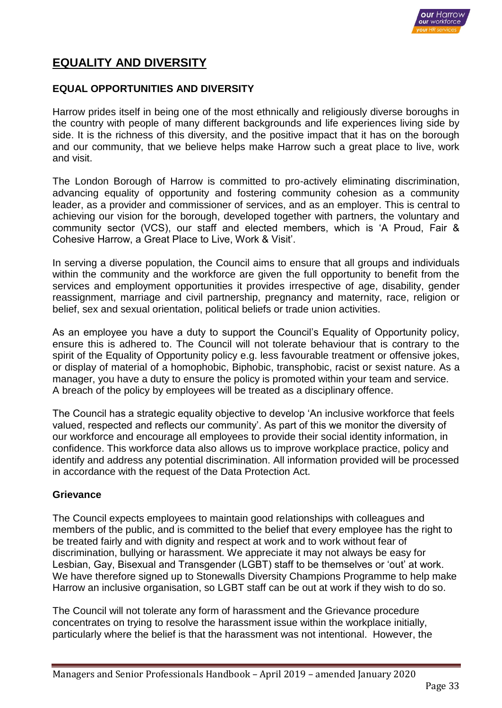

# **EQUALITY AND DIVERSITY**

# **EQUAL OPPORTUNITIES AND DIVERSITY**

Harrow prides itself in being one of the most ethnically and religiously diverse boroughs in the country with people of many different backgrounds and life experiences living side by side. It is the richness of this diversity, and the positive impact that it has on the borough and our community, that we believe helps make Harrow such a great place to live, work and visit.

The London Borough of Harrow is committed to pro-actively eliminating discrimination, advancing equality of opportunity and fostering community cohesion as a community leader, as a provider and commissioner of services, and as an employer. This is central to achieving our vision for the borough, developed together with partners, the voluntary and community sector (VCS), our staff and elected members, which is 'A Proud, Fair & Cohesive Harrow, a Great Place to Live, Work & Visit'.

In serving a diverse population, the Council aims to ensure that all groups and individuals within the community and the workforce are given the full opportunity to benefit from the services and employment opportunities it provides irrespective of age, disability, gender reassignment, marriage and civil partnership, pregnancy and maternity, race, religion or belief, sex and sexual orientation, political beliefs or trade union activities.

As an employee you have a duty to support the Council's Equality of Opportunity policy, ensure this is adhered to. The Council will not tolerate behaviour that is contrary to the spirit of the Equality of Opportunity policy e.g. less favourable treatment or offensive jokes, or display of material of a homophobic, Biphobic, transphobic, racist or sexist nature. As a manager, you have a duty to ensure the policy is promoted within your team and service. A breach of the policy by employees will be treated as a disciplinary offence.

The Council has a strategic equality objective to develop 'An inclusive workforce that feels valued, respected and reflects our community'. As part of this we monitor the diversity of our workforce and encourage all employees to provide their social identity information, in confidence. This workforce data also allows us to improve workplace practice, policy and identify and address any potential discrimination. All information provided will be processed in accordance with the request of the Data Protection Act.

#### **Grievance**

The Council expects employees to maintain good relationships with colleagues and members of the public, and is committed to the belief that every employee has the right to be treated fairly and with dignity and respect at work and to work without fear of discrimination, bullying or harassment. We appreciate it may not always be easy for Lesbian, Gay, Bisexual and Transgender (LGBT) staff to be themselves or 'out' at work. We have therefore signed up to Stonewalls Diversity Champions Programme to help make Harrow an inclusive organisation, so LGBT staff can be out at work if they wish to do so.

The Council will not tolerate any form of harassment and the Grievance procedure concentrates on trying to resolve the harassment issue within the workplace initially, particularly where the belief is that the harassment was not intentional. However, the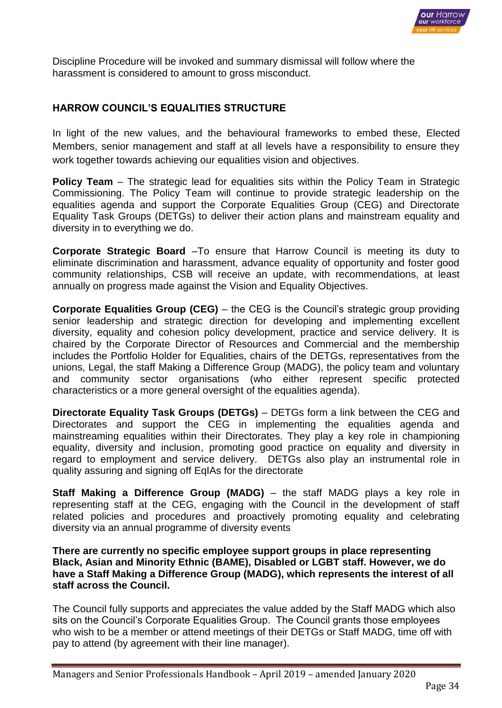

Discipline Procedure will be invoked and summary dismissal will follow where the harassment is considered to amount to gross misconduct.

## **HARROW COUNCIL'S EQUALITIES STRUCTURE**

In light of the new values, and the behavioural frameworks to embed these, Elected Members, senior management and staff at all levels have a responsibility to ensure they work together towards achieving our equalities vision and objectives.

**Policy Team** – The strategic lead for equalities sits within the Policy Team in Strategic Commissioning. The Policy Team will continue to provide strategic leadership on the equalities agenda and support the Corporate Equalities Group (CEG) and Directorate Equality Task Groups (DETGs) to deliver their action plans and mainstream equality and diversity in to everything we do.

**Corporate Strategic Board** –To ensure that Harrow Council is meeting its duty to eliminate discrimination and harassment, advance equality of opportunity and foster good community relationships, CSB will receive an update, with recommendations, at least annually on progress made against the Vision and Equality Objectives.

**Corporate Equalities Group (CEG)** – the CEG is the Council's strategic group providing senior leadership and strategic direction for developing and implementing excellent diversity, equality and cohesion policy development, practice and service delivery. It is chaired by the Corporate Director of Resources and Commercial and the membership includes the Portfolio Holder for Equalities, chairs of the DETGs, representatives from the unions, Legal, the staff Making a Difference Group (MADG), the policy team and voluntary and community sector organisations (who either represent specific protected characteristics or a more general oversight of the equalities agenda).

**Directorate Equality Task Groups (DETGs)** – DETGs form a link between the CEG and Directorates and support the CEG in implementing the equalities agenda and mainstreaming equalities within their Directorates. They play a key role in championing equality, diversity and inclusion, promoting good practice on equality and diversity in regard to employment and service delivery. DETGs also play an instrumental role in quality assuring and signing off EqIAs for the directorate

**Staff Making a Difference Group (MADG)** – the staff MADG plays a key role in representing staff at the CEG, engaging with the Council in the development of staff related policies and procedures and proactively promoting equality and celebrating diversity via an annual programme of diversity events

**There are currently no specific employee support groups in place representing Black, Asian and Minority Ethnic (BAME), Disabled or LGBT staff. However, we do have a Staff Making a Difference Group (MADG), which represents the interest of all staff across the Council.** 

The Council fully supports and appreciates the value added by the Staff MADG which also sits on the Council's Corporate Equalities Group. The Council grants those employees who wish to be a member or attend meetings of their DETGs or Staff MADG, time off with pay to attend (by agreement with their line manager).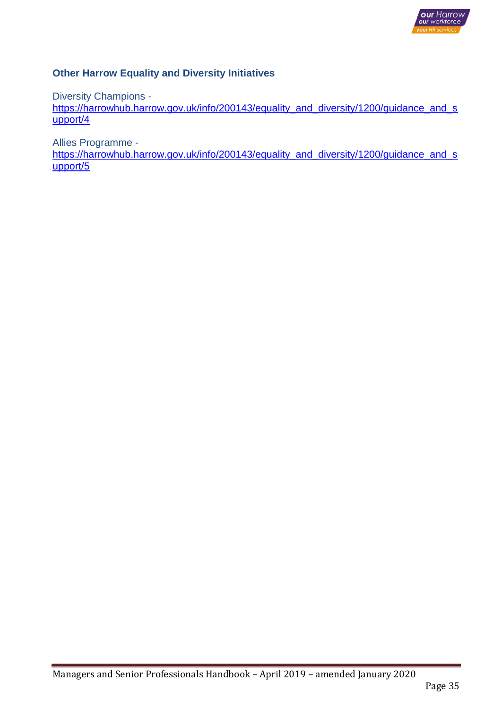

# **Other Harrow Equality and Diversity Initiatives**

Diversity Champions -

[https://harrowhub.harrow.gov.uk/info/200143/equality\\_and\\_diversity/1200/guidance\\_and\\_s](https://harrowhub.harrow.gov.uk/info/200143/equality_and_diversity/1200/guidance_and_support/4) [upport/4](https://harrowhub.harrow.gov.uk/info/200143/equality_and_diversity/1200/guidance_and_support/4)

Allies Programme -

[https://harrowhub.harrow.gov.uk/info/200143/equality\\_and\\_diversity/1200/guidance\\_and\\_s](https://harrowhub.harrow.gov.uk/info/200143/equality_and_diversity/1200/guidance_and_support/5) [upport/5](https://harrowhub.harrow.gov.uk/info/200143/equality_and_diversity/1200/guidance_and_support/5)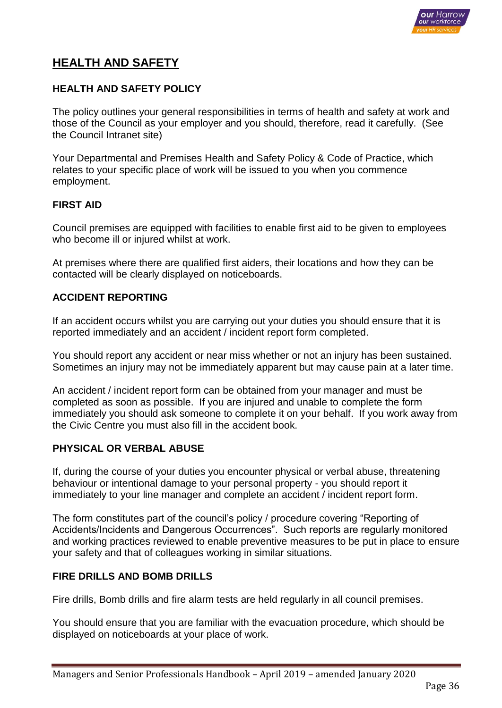

# **HEALTH AND SAFETY**

# **HEALTH AND SAFETY POLICY**

The policy outlines your general responsibilities in terms of health and safety at work and those of the Council as your employer and you should, therefore, read it carefully. (See the Council Intranet site)

Your Departmental and Premises Health and Safety Policy & Code of Practice, which relates to your specific place of work will be issued to you when you commence employment.

## **FIRST AID**

Council premises are equipped with facilities to enable first aid to be given to employees who become ill or injured whilst at work.

At premises where there are qualified first aiders, their locations and how they can be contacted will be clearly displayed on noticeboards.

## **ACCIDENT REPORTING**

If an accident occurs whilst you are carrying out your duties you should ensure that it is reported immediately and an accident / incident report form completed.

You should report any accident or near miss whether or not an injury has been sustained. Sometimes an injury may not be immediately apparent but may cause pain at a later time.

An accident / incident report form can be obtained from your manager and must be completed as soon as possible. If you are injured and unable to complete the form immediately you should ask someone to complete it on your behalf. If you work away from the Civic Centre you must also fill in the accident book.

# **PHYSICAL OR VERBAL ABUSE**

If, during the course of your duties you encounter physical or verbal abuse, threatening behaviour or intentional damage to your personal property - you should report it immediately to your line manager and complete an accident / incident report form.

The form constitutes part of the council's policy / procedure covering "Reporting of Accidents/Incidents and Dangerous Occurrences". Such reports are regularly monitored and working practices reviewed to enable preventive measures to be put in place to ensure your safety and that of colleagues working in similar situations.

### **FIRE DRILLS AND BOMB DRILLS**

Fire drills, Bomb drills and fire alarm tests are held regularly in all council premises.

You should ensure that you are familiar with the evacuation procedure, which should be displayed on noticeboards at your place of work.